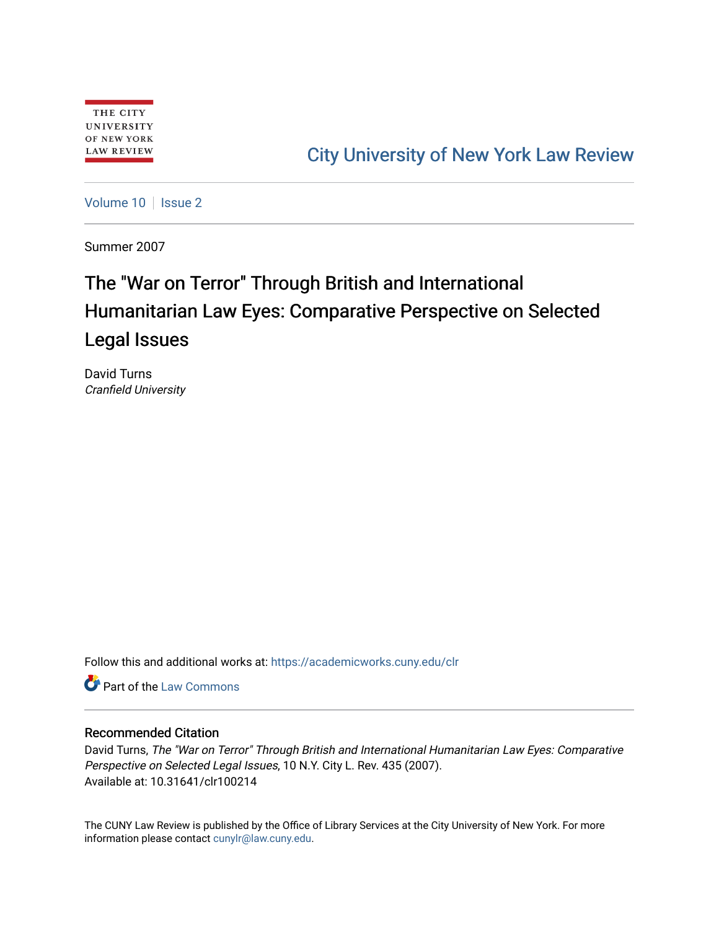# [City University of New York Law Review](https://academicworks.cuny.edu/clr)

[Volume 10](https://academicworks.cuny.edu/clr/vol10) | [Issue 2](https://academicworks.cuny.edu/clr/vol10/iss2)

Summer 2007

# The "War on Terror" Through British and International Humanitarian Law Eyes: Comparative Perspective on Selected Legal Issues

David Turns Cranfield University

Follow this and additional works at: [https://academicworks.cuny.edu/clr](https://academicworks.cuny.edu/clr?utm_source=academicworks.cuny.edu%2Fclr%2Fvol10%2Fiss2%2F15&utm_medium=PDF&utm_campaign=PDFCoverPages) 

Part of the [Law Commons](http://network.bepress.com/hgg/discipline/578?utm_source=academicworks.cuny.edu%2Fclr%2Fvol10%2Fiss2%2F15&utm_medium=PDF&utm_campaign=PDFCoverPages)

## Recommended Citation

David Turns, The "War on Terror" Through British and International Humanitarian Law Eyes: Comparative Perspective on Selected Legal Issues, 10 N.Y. City L. Rev. 435 (2007). Available at: 10.31641/clr100214

The CUNY Law Review is published by the Office of Library Services at the City University of New York. For more information please contact [cunylr@law.cuny.edu](mailto:cunylr@law.cuny.edu).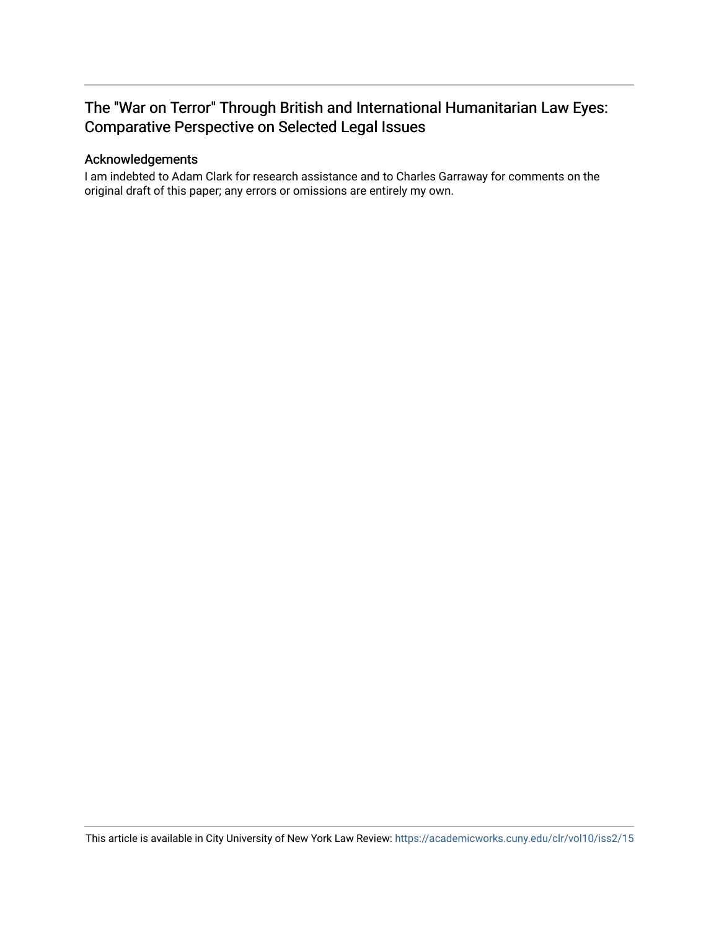# The "War on Terror" Through British and International Humanitarian Law Eyes: Comparative Perspective on Selected Legal Issues

## Acknowledgements

I am indebted to Adam Clark for research assistance and to Charles Garraway for comments on the original draft of this paper; any errors or omissions are entirely my own.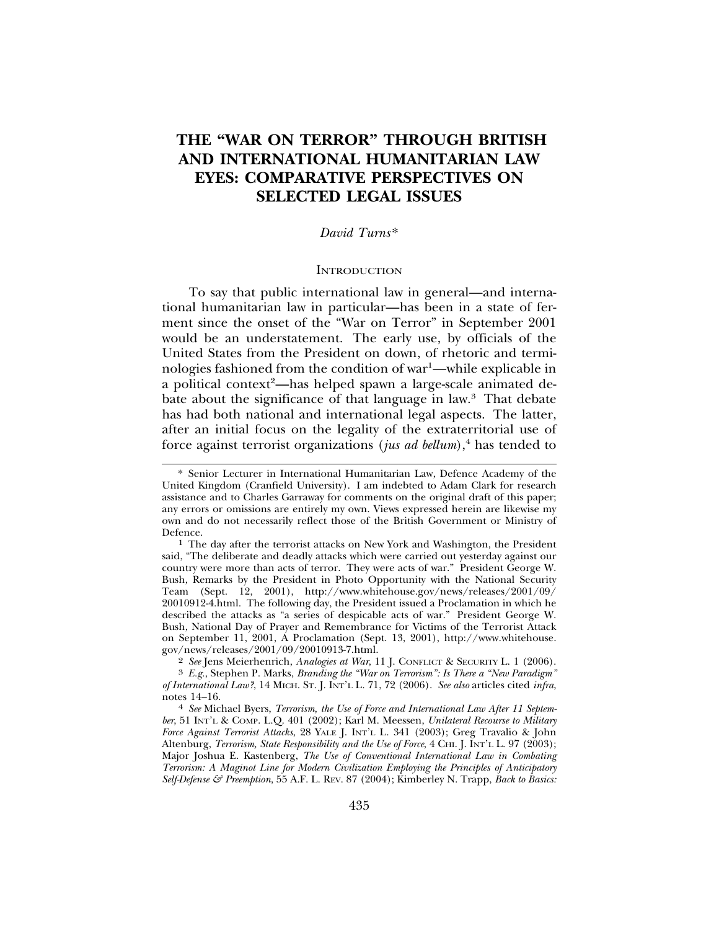# **THE "WAR ON TERROR" THROUGH BRITISH AND INTERNATIONAL HUMANITARIAN LAW EYES: COMPARATIVE PERSPECTIVES ON SELECTED LEGAL ISSUES**

#### *David Turns*\*

#### **INTRODUCTION**

To say that public international law in general—and international humanitarian law in particular—has been in a state of ferment since the onset of the "War on Terror" in September 2001 would be an understatement. The early use, by officials of the United States from the President on down, of rhetoric and terminologies fashioned from the condition of war<sup>1</sup>—while explicable in a political context<sup>2</sup>—has helped spawn a large-scale animated debate about the significance of that language in law.3 That debate has had both national and international legal aspects. The latter, after an initial focus on the legality of the extraterritorial use of force against terrorist organizations (jus ad bellum),<sup>4</sup> has tended to

<sup>3</sup> *E.g.*, Stephen P. Marks, *Branding the "War on Terrorism": Is There a "New Paradigm" of International Law?*, 14 MICH. ST. J. INT'L L. 71, 72 (2006). *See also* articles cited *infra*,

<sup>4</sup> See Michael Byers, *Terrorism, the Use of Force and International Law After 11 September*, 51 INT'L & COMP. L.Q. 401 (2002); Karl M. Meessen, *Unilateral Recourse to Military Force Against Terrorist Attacks*, 28 YALE J. INT'L L. 341 (2003); Greg Travalio & John Altenburg, *Terrorism, State Responsibility and the Use of Force*, 4 CHI. J. INT'L L. 97 (2003); Major Joshua E. Kastenberg, *The Use of Conventional International Law in Combating Terrorism: A Maginot Line for Modern Civilization Employing the Principles of Anticipatory Self-Defense & Preemption*, 55 A.F. L. REV. 87 (2004); Kimberley N. Trapp, *Back to Basics:*

<sup>\*</sup> Senior Lecturer in International Humanitarian Law, Defence Academy of the United Kingdom (Cranfield University). I am indebted to Adam Clark for research assistance and to Charles Garraway for comments on the original draft of this paper; any errors or omissions are entirely my own. Views expressed herein are likewise my own and do not necessarily reflect those of the British Government or Ministry of Defence. <sup>1</sup> The day after the terrorist attacks on New York and Washington, the President

said, "The deliberate and deadly attacks which were carried out yesterday against our country were more than acts of terror. They were acts of war." President George W. Bush, Remarks by the President in Photo Opportunity with the National Security Team (Sept. 12, 2001), http://www.whitehouse.gov/news/releases/2001/09/ 20010912-4.html. The following day, the President issued a Proclamation in which he described the attacks as "a series of despicable acts of war." President George W. Bush, National Day of Prayer and Remembrance for Victims of the Terrorist Attack on September 11, 2001, A Proclamation (Sept. 13, 2001), http://www.whitehouse. gov/news/releases/2001/09/20010913-7.html.<br><sup>2</sup> See Jens Meierhenrich, Analogies at War, 11 J. CONFLICT & SECURITY L. 1 (2006).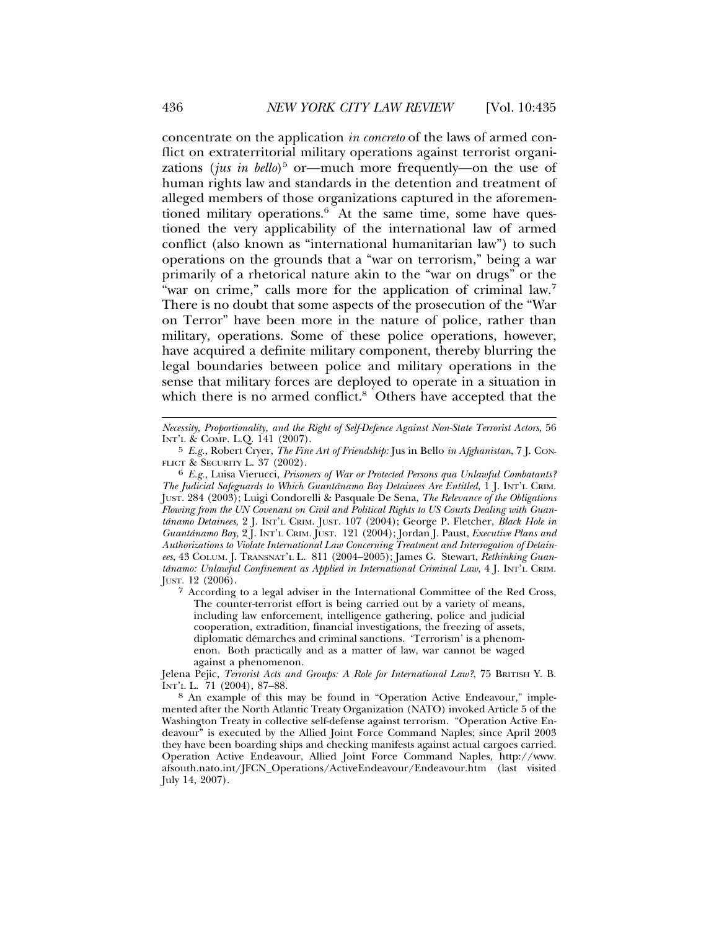concentrate on the application *in concreto* of the laws of armed conflict on extraterritorial military operations against terrorist organizations (*jus in bello*)<sup>5</sup> or—much more frequently—on the use of human rights law and standards in the detention and treatment of alleged members of those organizations captured in the aforementioned military operations. $6$  At the same time, some have questioned the very applicability of the international law of armed conflict (also known as "international humanitarian law") to such operations on the grounds that a "war on terrorism," being a war primarily of a rhetorical nature akin to the "war on drugs" or the "war on crime," calls more for the application of criminal law.7 There is no doubt that some aspects of the prosecution of the "War on Terror" have been more in the nature of police, rather than military, operations. Some of these police operations, however, have acquired a definite military component, thereby blurring the legal boundaries between police and military operations in the sense that military forces are deployed to operate in a situation in which there is no armed conflict.<sup>8</sup> Others have accepted that the

*Necessity, Proportionality, and the Right of Self-Defence Against Non-State Terrorist Actors*, 56 INT'L & COMP. L.Q. 141 (2007).

<sup>5</sup> *E.g.*, Robert Cryer, *The Fine Art of Friendship:* Jus in Bello *in Afghanistan*, 7 J. CON-

FLICT & SECURITY L. 37 (2002). <sup>6</sup> *E.g.*, Luisa Vierucci, *Prisoners of War or Protected Persons qua Unlawful Combatants? The Judicial Safeguards to Which Guantánamo Bay Detainees Are Entitled*, 1 *J. INT'L CRIM.* JUST. 284 (2003); Luigi Condorelli & Pasquale De Sena, *The Relevance of the Obligations Flowing from the UN Covenant on Civil and Political Rights to US Courts Dealing with Guantanamo Detainees ´* , 2 J. INT'L CRIM. JUST. 107 (2004); George P. Fletcher, *Black Hole in Guantanamo Bay ´* , 2 J. INT'L CRIM. JUST. 121 (2004); Jordan J. Paust, *Executive Plans and Authorizations to Violate International Law Concerning Treatment and Interrogation of Detainees*, 43 COLUM. J. TRANSNAT'L L. 811 (2004–2005); James G. Stewart, *Rethinking Guantánamo: Unlawful Confinement as Applied in International Criminal Law*, 4 J. INT'L CRIM. JUST. 12 (2006).

<sup>7</sup> According to a legal adviser in the International Committee of the Red Cross, The counter-terrorist effort is being carried out by a variety of means, including law enforcement, intelligence gathering, police and judicial cooperation, extradition, financial investigations, the freezing of assets, diplomatic démarches and criminal sanctions. 'Terrorism' is a phenomenon. Both practically and as a matter of law, war cannot be waged against a phenomenon.

Jelena Pejic, *Terrorist Acts and Groups: A Role for International Law?*, 75 BRITISH Y. B. INT'L L. 71 (2004), 87–88.

<sup>8</sup> An example of this may be found in "Operation Active Endeavour," implemented after the North Atlantic Treaty Organization (NATO) invoked Article 5 of the Washington Treaty in collective self-defense against terrorism. "Operation Active Endeavour" is executed by the Allied Joint Force Command Naples; since April 2003 they have been boarding ships and checking manifests against actual cargoes carried. Operation Active Endeavour, Allied Joint Force Command Naples, http://www. afsouth.nato.int/JFCN\_Operations/ActiveEndeavour/Endeavour.htm (last visited July 14, 2007).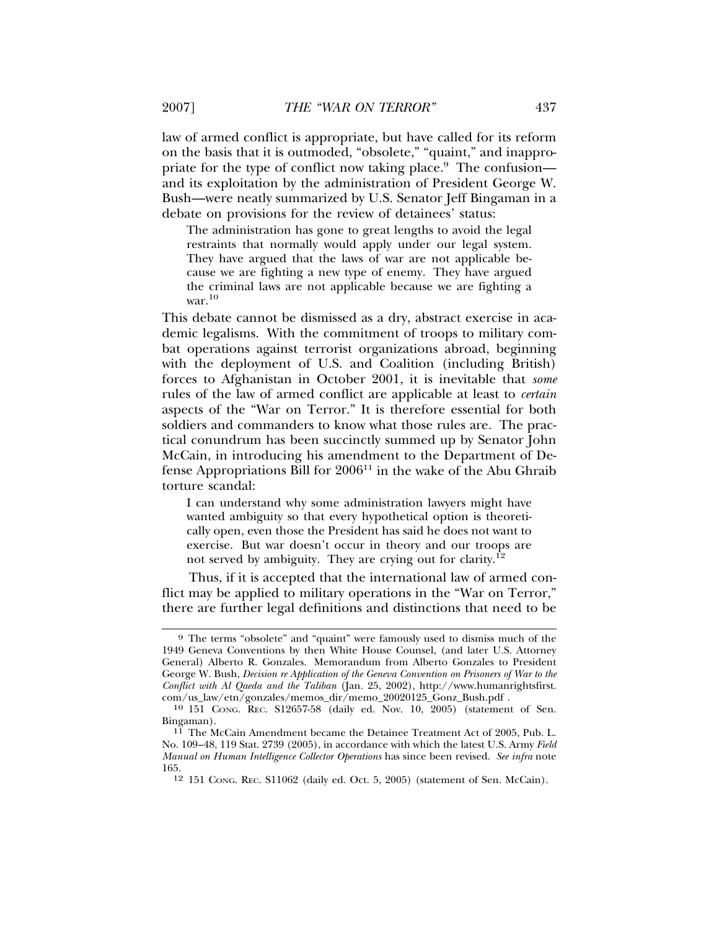law of armed conflict is appropriate, but have called for its reform on the basis that it is outmoded, "obsolete," "quaint," and inappropriate for the type of conflict now taking place.<sup>9</sup> The confusion and its exploitation by the administration of President George W. Bush—were neatly summarized by U.S. Senator Jeff Bingaman in a debate on provisions for the review of detainees' status:

The administration has gone to great lengths to avoid the legal restraints that normally would apply under our legal system. They have argued that the laws of war are not applicable because we are fighting a new type of enemy. They have argued the criminal laws are not applicable because we are fighting a war. $10$ 

This debate cannot be dismissed as a dry, abstract exercise in academic legalisms. With the commitment of troops to military combat operations against terrorist organizations abroad, beginning with the deployment of U.S. and Coalition (including British) forces to Afghanistan in October 2001, it is inevitable that *some* rules of the law of armed conflict are applicable at least to *certain* aspects of the "War on Terror." It is therefore essential for both soldiers and commanders to know what those rules are. The practical conundrum has been succinctly summed up by Senator John McCain, in introducing his amendment to the Department of Defense Appropriations Bill for  $2006<sup>11</sup>$  in the wake of the Abu Ghraib torture scandal:

I can understand why some administration lawyers might have wanted ambiguity so that every hypothetical option is theoretically open, even those the President has said he does not want to exercise. But war doesn't occur in theory and our troops are not served by ambiguity. They are crying out for clarity.<sup>12</sup>

Thus, if it is accepted that the international law of armed conflict may be applied to military operations in the "War on Terror," there are further legal definitions and distinctions that need to be

<sup>9</sup> The terms "obsolete" and "quaint" were famously used to dismiss much of the 1949 Geneva Conventions by then White House Counsel, (and later U.S. Attorney General) Alberto R. Gonzales. Memorandum from Alberto Gonzales to President George W. Bush, *Decision re Application of the Geneva Convention on Prisoners of War to the Conflict with Al Qaeda and the Taliban* (Jan. 25, 2002), http://www.humanrightsfirst. com/us\_law/etn/gonzales/memos\_dir/memo\_20020125\_Gonz\_Bush.pdf .

<sup>10</sup> 151 CONG. REC. S12657-58 (daily ed. Nov. 10, 2005) (statement of Sen. Bingaman). <sup>11</sup> The McCain Amendment became the Detainee Treatment Act of 2005, Pub. L.

No. 109–48, 119 Stat. 2739 (2005), in accordance with which the latest U.S. Army *Field Manual on Human Intelligence Collector Operations* has since been revised. *See infra* note 165.

<sup>12</sup> 151 CONG. REC. S11062 (daily ed. Oct. 5, 2005) (statement of Sen. McCain).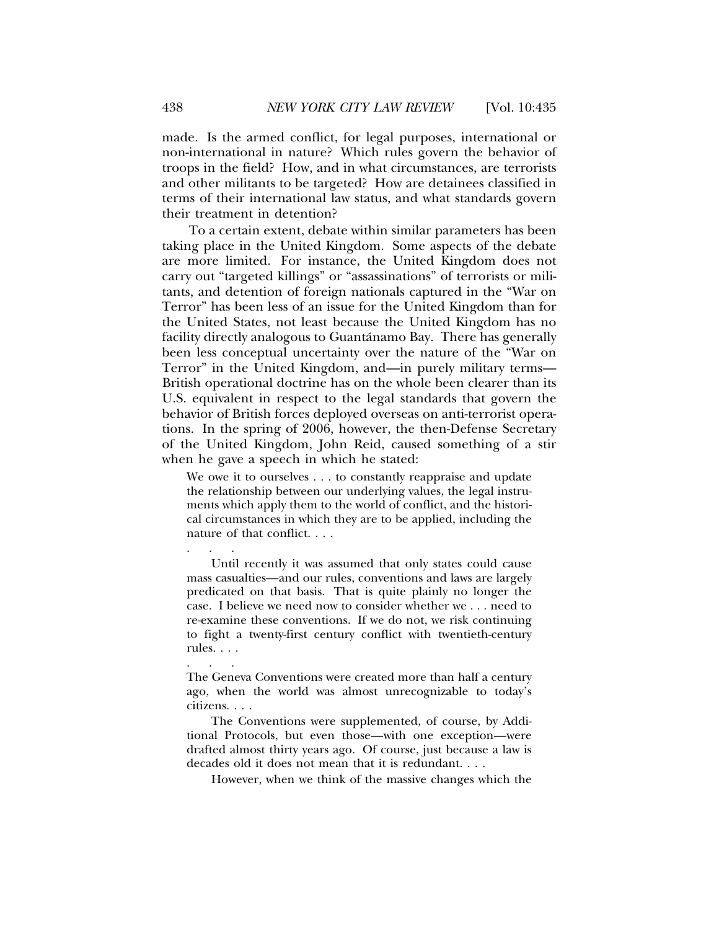made. Is the armed conflict, for legal purposes, international or non-international in nature? Which rules govern the behavior of troops in the field? How, and in what circumstances, are terrorists and other militants to be targeted? How are detainees classified in terms of their international law status, and what standards govern their treatment in detention?

To a certain extent, debate within similar parameters has been taking place in the United Kingdom. Some aspects of the debate are more limited. For instance, the United Kingdom does not carry out "targeted killings" or "assassinations" of terrorists or militants, and detention of foreign nationals captured in the "War on Terror" has been less of an issue for the United Kingdom than for the United States, not least because the United Kingdom has no facility directly analogous to Guantánamo Bay. There has generally been less conceptual uncertainty over the nature of the "War on Terror" in the United Kingdom, and—in purely military terms— British operational doctrine has on the whole been clearer than its U.S. equivalent in respect to the legal standards that govern the behavior of British forces deployed overseas on anti-terrorist operations. In the spring of 2006, however, the then-Defense Secretary of the United Kingdom, John Reid, caused something of a stir when he gave a speech in which he stated:

We owe it to ourselves . . . to constantly reappraise and update the relationship between our underlying values, the legal instruments which apply them to the world of conflict, and the historical circumstances in which they are to be applied, including the nature of that conflict. . . .

Until recently it was assumed that only states could cause mass casualties—and our rules, conventions and laws are largely predicated on that basis. That is quite plainly no longer the case. I believe we need now to consider whether we . . . need to re-examine these conventions. If we do not, we risk continuing to fight a twenty-first century conflict with twentieth-century rules. . . .

The Geneva Conventions were created more than half a century ago, when the world was almost unrecognizable to today's citizens. . . .

The Conventions were supplemented, of course, by Additional Protocols, but even those—with one exception—were drafted almost thirty years ago. Of course, just because a law is decades old it does not mean that it is redundant. . . .

However, when we think of the massive changes which the

. . .

. . .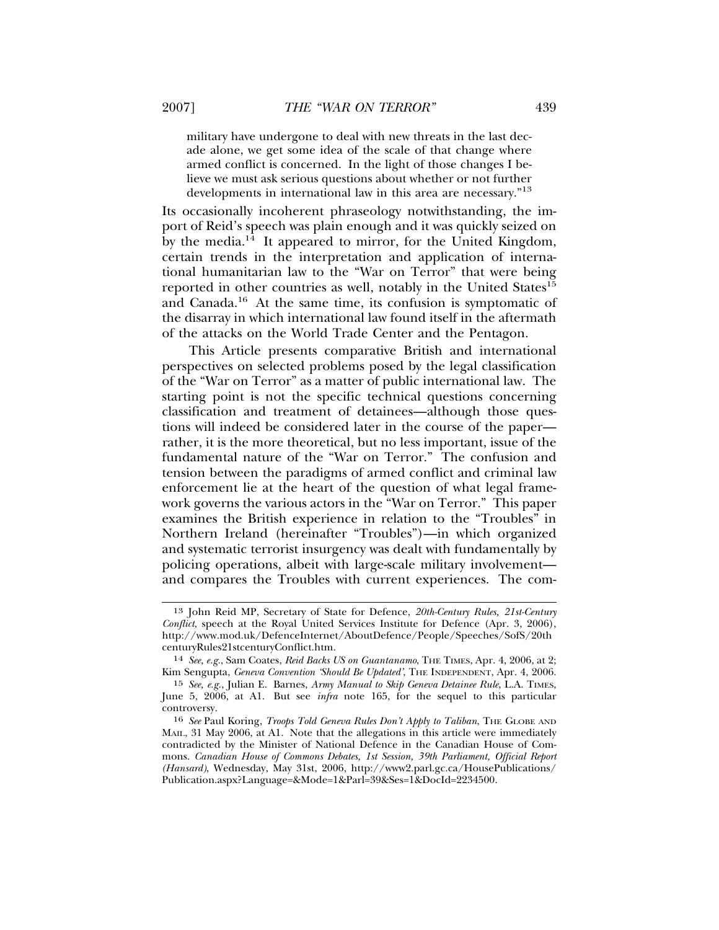military have undergone to deal with new threats in the last decade alone, we get some idea of the scale of that change where armed conflict is concerned. In the light of those changes I believe we must ask serious questions about whether or not further developments in international law in this area are necessary."<sup>13</sup>

Its occasionally incoherent phraseology notwithstanding, the import of Reid's speech was plain enough and it was quickly seized on by the media. $14$  It appeared to mirror, for the United Kingdom, certain trends in the interpretation and application of international humanitarian law to the "War on Terror" that were being reported in other countries as well, notably in the United States<sup>15</sup> and Canada.16 At the same time, its confusion is symptomatic of the disarray in which international law found itself in the aftermath of the attacks on the World Trade Center and the Pentagon.

This Article presents comparative British and international perspectives on selected problems posed by the legal classification of the "War on Terror" as a matter of public international law. The starting point is not the specific technical questions concerning classification and treatment of detainees—although those questions will indeed be considered later in the course of the paper rather, it is the more theoretical, but no less important, issue of the fundamental nature of the "War on Terror." The confusion and tension between the paradigms of armed conflict and criminal law enforcement lie at the heart of the question of what legal framework governs the various actors in the "War on Terror." This paper examines the British experience in relation to the "Troubles" in Northern Ireland (hereinafter "Troubles")—in which organized and systematic terrorist insurgency was dealt with fundamentally by policing operations, albeit with large-scale military involvement and compares the Troubles with current experiences. The com-

<sup>13</sup> John Reid MP, Secretary of State for Defence, *20th-Century Rules, 21st-Century Conflict*, speech at the Royal United Services Institute for Defence (Apr. 3, 2006), http://www.mod.uk/DefenceInternet/AboutDefence/People/Speeches/SofS/20th centuryRules21stcenturyConflict.htm.

<sup>14</sup> *See, e.g.*, Sam Coates, *Reid Backs US on Guantanamo*, THE TIMES, Apr. 4, 2006, at 2; Kim Sengupta, *Geneva Convention 'Should Be Updated'*, THE INDEPENDENT, Apr. 4, 2006.

<sup>15</sup> *See, e.g.*, Julian E. Barnes, *Army Manual to Skip Geneva Detainee Rule*, L.A. TIMES, June 5, 2006, at A1. But see *infra* note 165, for the sequel to this particular controversy.

<sup>16</sup> *See* Paul Koring, *Troops Told Geneva Rules Don't Apply to Taliban*, THE GLOBE AND MAIL, 31 May 2006, at A1. Note that the allegations in this article were immediately contradicted by the Minister of National Defence in the Canadian House of Commons. *Canadian House of Commons Debates, 1st Session, 39th Parliament, Official Report (Hansard)*, Wednesday, May 31st, 2006, http://www2.parl.gc.ca/HousePublications/ Publication.aspx?Language=&Mode=1&Parl=39&Ses=1&DocId=2234500.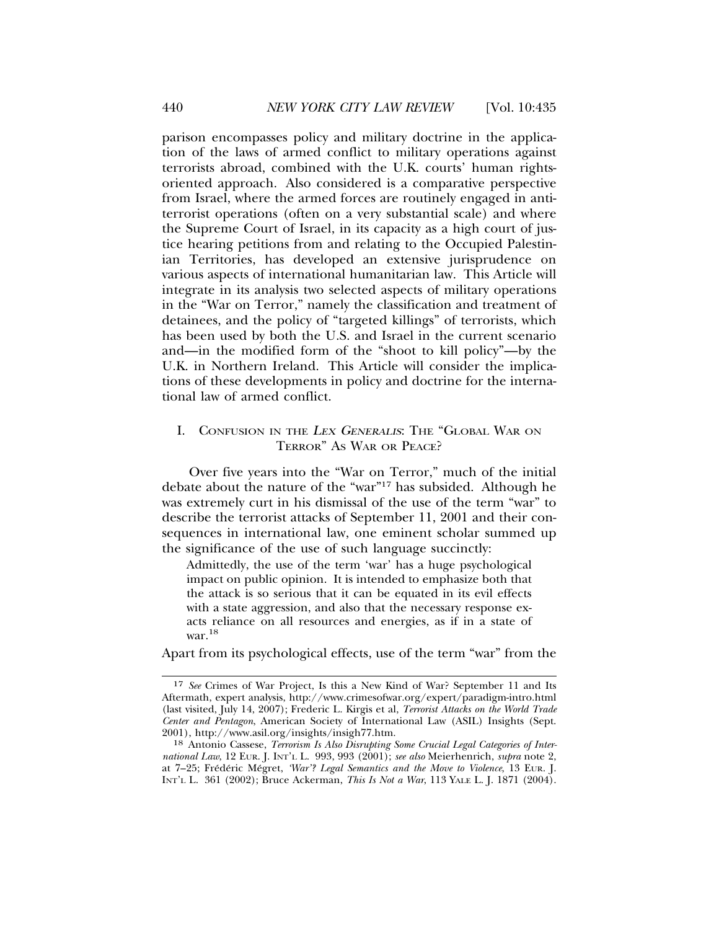parison encompasses policy and military doctrine in the application of the laws of armed conflict to military operations against terrorists abroad, combined with the U.K. courts' human rightsoriented approach. Also considered is a comparative perspective from Israel, where the armed forces are routinely engaged in antiterrorist operations (often on a very substantial scale) and where the Supreme Court of Israel, in its capacity as a high court of justice hearing petitions from and relating to the Occupied Palestinian Territories, has developed an extensive jurisprudence on various aspects of international humanitarian law. This Article will integrate in its analysis two selected aspects of military operations in the "War on Terror," namely the classification and treatment of detainees, and the policy of "targeted killings" of terrorists, which has been used by both the U.S. and Israel in the current scenario and—in the modified form of the "shoot to kill policy"—by the U.K. in Northern Ireland. This Article will consider the implications of these developments in policy and doctrine for the international law of armed conflict.

## I. CONFUSION IN THE <sup>L</sup>EX GENERALIS: THE "GLOBAL WAR ON TERROR" AS WAR OR PEACE?

Over five years into the "War on Terror," much of the initial debate about the nature of the "war"17 has subsided. Although he was extremely curt in his dismissal of the use of the term "war" to describe the terrorist attacks of September 11, 2001 and their consequences in international law, one eminent scholar summed up the significance of the use of such language succinctly:

Admittedly, the use of the term 'war' has a huge psychological impact on public opinion. It is intended to emphasize both that the attack is so serious that it can be equated in its evil effects with a state aggression, and also that the necessary response exacts reliance on all resources and energies, as if in a state of war.<sup>18</sup>

Apart from its psychological effects, use of the term "war" from the

<sup>17</sup> *See* Crimes of War Project, Is this a New Kind of War? September 11 and Its Aftermath, expert analysis, http://www.crimesofwar.org/expert/paradigm-intro.html (last visited, July 14, 2007); Frederic L. Kirgis et al, *Terrorist Attacks on the World Trade Center and Pentagon*, American Society of International Law (ASIL) Insights (Sept. 2001), http://www.asil.org/insights/insigh77.htm.

<sup>18</sup> Antonio Cassese, *Terrorism Is Also Disrupting Some Crucial Legal Categories of International Law*, 12 EUR. J. INT'L L. 993, 993 (2001); *see also* Meierhenrich, *supra* note 2, at 7-25; Frédéric Mégret, 'War'? Legal Semantics and the Move to Violence, 13 EUR. J. INT'L L. 361 (2002); Bruce Ackerman, *This Is Not a War*, 113 YALE L. J. 1871 (2004).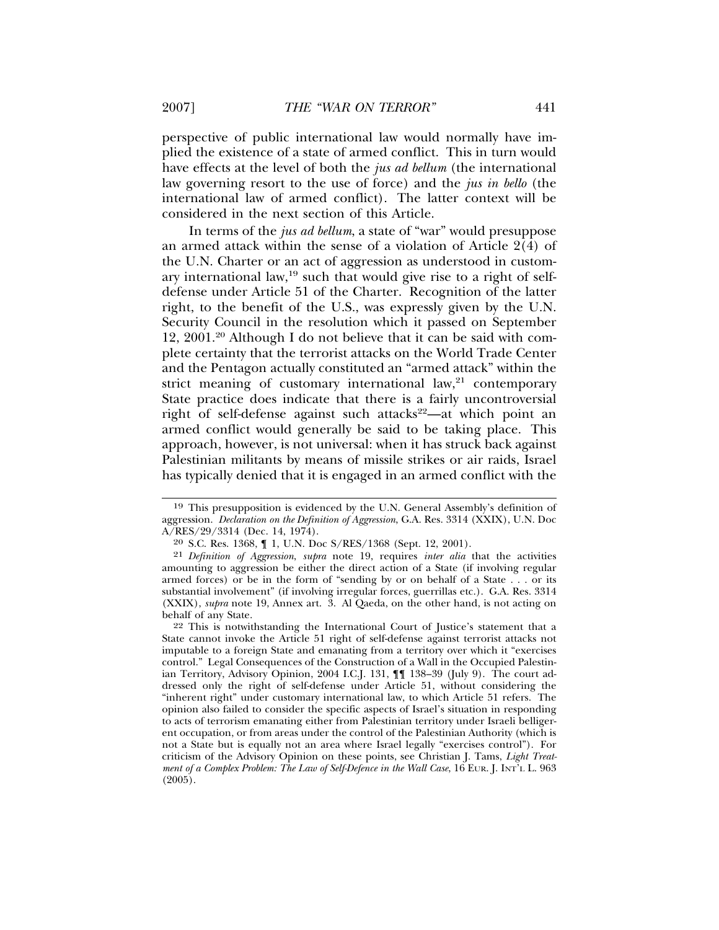perspective of public international law would normally have implied the existence of a state of armed conflict. This in turn would have effects at the level of both the *jus ad bellum* (the international law governing resort to the use of force) and the *jus in bello* (the international law of armed conflict). The latter context will be considered in the next section of this Article.

In terms of the *jus ad bellum*, a state of "war" would presuppose an armed attack within the sense of a violation of Article  $2(4)$  of the U.N. Charter or an act of aggression as understood in customary international law,  $19$  such that would give rise to a right of selfdefense under Article 51 of the Charter. Recognition of the latter right, to the benefit of the U.S., was expressly given by the U.N. Security Council in the resolution which it passed on September 12, 2001.20 Although I do not believe that it can be said with complete certainty that the terrorist attacks on the World Trade Center and the Pentagon actually constituted an "armed attack" within the strict meaning of customary international law, $21$  contemporary State practice does indicate that there is a fairly uncontroversial right of self-defense against such attacks<sup>22</sup>—at which point an armed conflict would generally be said to be taking place. This approach, however, is not universal: when it has struck back against Palestinian militants by means of missile strikes or air raids, Israel has typically denied that it is engaged in an armed conflict with the

22 This is notwithstanding the International Court of Justice's statement that a State cannot invoke the Article 51 right of self-defense against terrorist attacks not imputable to a foreign State and emanating from a territory over which it "exercises control." Legal Consequences of the Construction of a Wall in the Occupied Palestinian Territory, Advisory Opinion, 2004 I.C.J. 131, ¶¶ 138–39 (July 9). The court addressed only the right of self-defense under Article 51, without considering the "inherent right" under customary international law, to which Article 51 refers. The opinion also failed to consider the specific aspects of Israel's situation in responding to acts of terrorism emanating either from Palestinian territory under Israeli belligerent occupation, or from areas under the control of the Palestinian Authority (which is not a State but is equally not an area where Israel legally "exercises control"). For criticism of the Advisory Opinion on these points, see Christian J. Tams, *Light Treatment of a Complex Problem: The Law of Self-Defence in the Wall Case*, 16 EUR. J. INT'L L. 963 (2005).

<sup>19</sup> This presupposition is evidenced by the U.N. General Assembly's definition of aggression. *Declaration on the Definition of Aggression*, G.A. Res. 3314 (XXIX), U.N. Doc A/RES/29/3314 (Dec. 14, 1974).

<sup>20</sup> S.C. Res. 1368, ¶ 1, U.N. Doc S/RES/1368 (Sept. 12, 2001).

<sup>21</sup> *Definition of Aggression*, *supra* note 19, requires *inter alia* that the activities amounting to aggression be either the direct action of a State (if involving regular armed forces) or be in the form of "sending by or on behalf of a State . . . or its substantial involvement" (if involving irregular forces, guerrillas etc.). G.A. Res. 3314 (XXIX), *supra* note 19, Annex art. 3. Al Qaeda, on the other hand, is not acting on behalf of any State.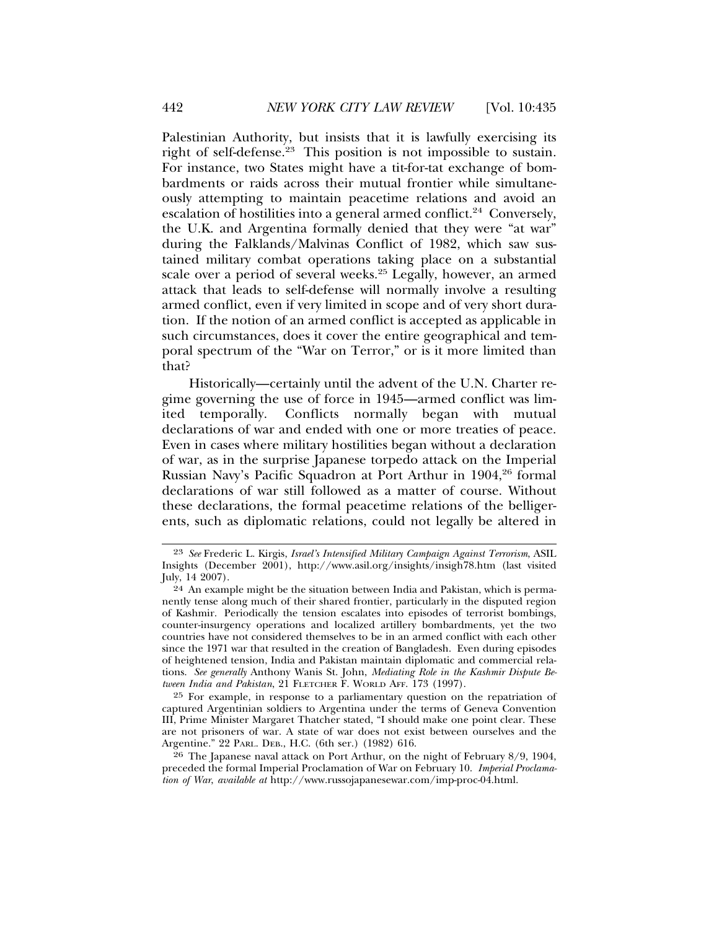Palestinian Authority, but insists that it is lawfully exercising its right of self-defense.<sup>23</sup> This position is not impossible to sustain. For instance, two States might have a tit-for-tat exchange of bombardments or raids across their mutual frontier while simultaneously attempting to maintain peacetime relations and avoid an escalation of hostilities into a general armed conflict.<sup>24</sup> Conversely, the U.K. and Argentina formally denied that they were "at war" during the Falklands/Malvinas Conflict of 1982, which saw sustained military combat operations taking place on a substantial scale over a period of several weeks.25 Legally, however, an armed attack that leads to self-defense will normally involve a resulting armed conflict, even if very limited in scope and of very short duration. If the notion of an armed conflict is accepted as applicable in such circumstances, does it cover the entire geographical and temporal spectrum of the "War on Terror," or is it more limited than that?

Historically—certainly until the advent of the U.N. Charter regime governing the use of force in 1945—armed conflict was limited temporally. Conflicts normally began with mutual declarations of war and ended with one or more treaties of peace. Even in cases where military hostilities began without a declaration of war, as in the surprise Japanese torpedo attack on the Imperial Russian Navy's Pacific Squadron at Port Arthur in 1904,<sup>26</sup> formal declarations of war still followed as a matter of course. Without these declarations, the formal peacetime relations of the belligerents, such as diplomatic relations, could not legally be altered in

25 For example, in response to a parliamentary question on the repatriation of captured Argentinian soldiers to Argentina under the terms of Geneva Convention III, Prime Minister Margaret Thatcher stated, "I should make one point clear. These are not prisoners of war. A state of war does not exist between ourselves and the Argentine." 22 PARL. DEB., H.C. (6th ser.) (1982) 616.

26 The Japanese naval attack on Port Arthur, on the night of February 8/9, 1904, preceded the formal Imperial Proclamation of War on February 10. *Imperial Proclamation of War*, *available at* http://www.russojapanesewar.com/imp-proc-04.html.

<sup>23</sup> *See* Frederic L. Kirgis, *Israel's Intensified Military Campaign Against Terrorism*, ASIL Insights (December 2001), http://www.asil.org/insights/insigh78.htm (last visited July, 14 2007).

<sup>24</sup> An example might be the situation between India and Pakistan, which is permanently tense along much of their shared frontier, particularly in the disputed region of Kashmir. Periodically the tension escalates into episodes of terrorist bombings, counter-insurgency operations and localized artillery bombardments, yet the two countries have not considered themselves to be in an armed conflict with each other since the 1971 war that resulted in the creation of Bangladesh. Even during episodes of heightened tension, India and Pakistan maintain diplomatic and commercial relations. *See generally* Anthony Wanis St. John, *Mediating Role in the Kashmir Dispute Between India and Pakistan*, 21 FLETCHER F. WORLD AFF. 173 (1997).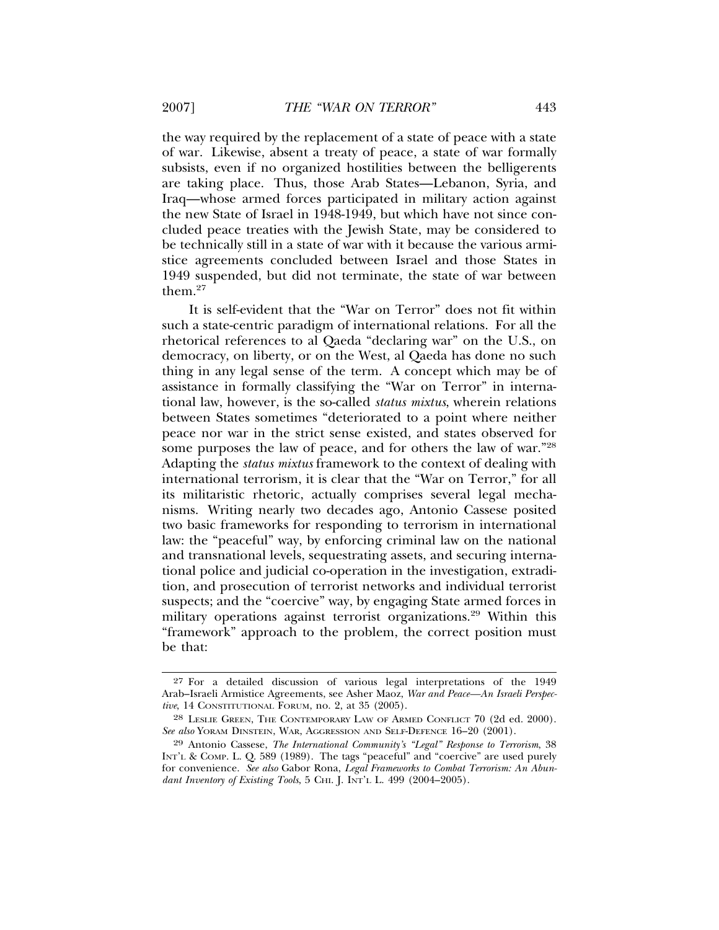the way required by the replacement of a state of peace with a state of war. Likewise, absent a treaty of peace, a state of war formally subsists, even if no organized hostilities between the belligerents are taking place. Thus, those Arab States—Lebanon, Syria, and Iraq—whose armed forces participated in military action against the new State of Israel in 1948-1949, but which have not since concluded peace treaties with the Jewish State, may be considered to be technically still in a state of war with it because the various armistice agreements concluded between Israel and those States in 1949 suspended, but did not terminate, the state of war between them.27

It is self-evident that the "War on Terror" does not fit within such a state-centric paradigm of international relations. For all the rhetorical references to al Qaeda "declaring war" on the U.S., on democracy, on liberty, or on the West, al Qaeda has done no such thing in any legal sense of the term. A concept which may be of assistance in formally classifying the "War on Terror" in international law, however, is the so-called *status mixtus*, wherein relations between States sometimes "deteriorated to a point where neither peace nor war in the strict sense existed, and states observed for some purposes the law of peace, and for others the law of war."28 Adapting the *status mixtus* framework to the context of dealing with international terrorism, it is clear that the "War on Terror," for all its militaristic rhetoric, actually comprises several legal mechanisms. Writing nearly two decades ago, Antonio Cassese posited two basic frameworks for responding to terrorism in international law: the "peaceful" way, by enforcing criminal law on the national and transnational levels, sequestrating assets, and securing international police and judicial co-operation in the investigation, extradition, and prosecution of terrorist networks and individual terrorist suspects; and the "coercive" way, by engaging State armed forces in military operations against terrorist organizations.<sup>29</sup> Within this "framework" approach to the problem, the correct position must be that:

<sup>27</sup> For a detailed discussion of various legal interpretations of the 1949 Arab–Israeli Armistice Agreements, see Asher Maoz, *War and Peace—An Israeli Perspective*, 14 CONSTITUTIONAL FORUM, no. 2, at 35 (2005).

<sup>28</sup> LESLIE GREEN, THE CONTEMPORARY LAW OF ARMED CONFLICT 70 (2d ed. 2000). *See also* YORAM DINSTEIN, WAR, AGGRESSION AND SELF-DEFENCE 16–20 (2001).

<sup>29</sup> Antonio Cassese, *The International Community's "Legal" Response to Terrorism*, 38 INT'L & COMP. L. Q. 589 (1989). The tags "peaceful" and "coercive" are used purely for convenience. *See also* Gabor Rona, *Legal Frameworks to Combat Terrorism: An Abundant Inventory of Existing Tools*, 5 CHI. J. INT'L L. 499 (2004–2005).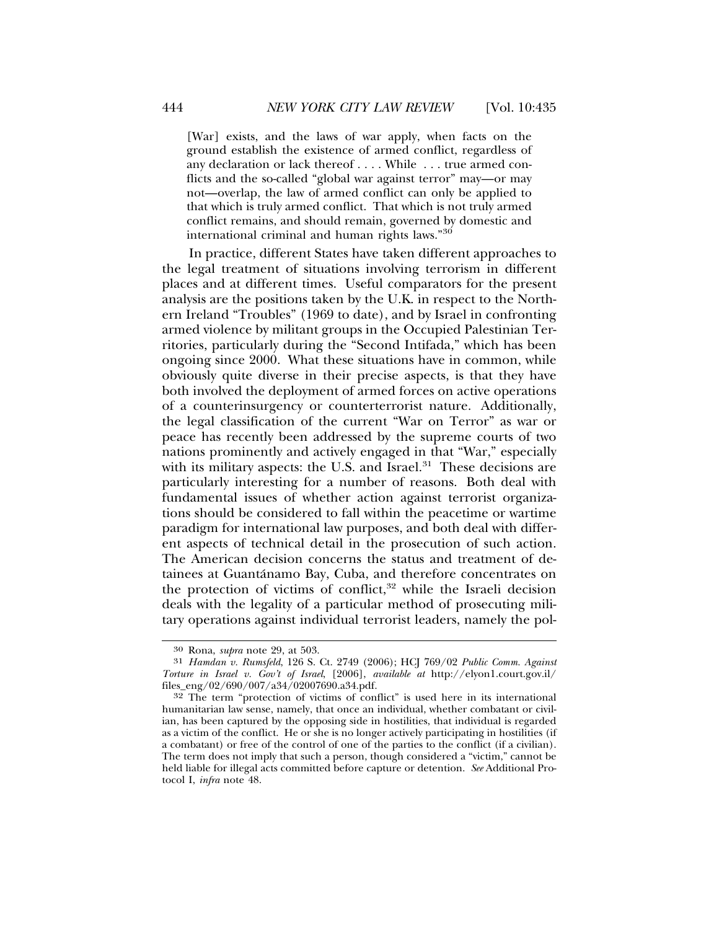[War] exists, and the laws of war apply, when facts on the ground establish the existence of armed conflict, regardless of any declaration or lack thereof . . . . While . . . true armed conflicts and the so-called "global war against terror" may—or may not—overlap, the law of armed conflict can only be applied to that which is truly armed conflict. That which is not truly armed conflict remains, and should remain, governed by domestic and international criminal and human rights laws."<sup>30</sup>

In practice, different States have taken different approaches to the legal treatment of situations involving terrorism in different places and at different times. Useful comparators for the present analysis are the positions taken by the U.K. in respect to the Northern Ireland "Troubles" (1969 to date), and by Israel in confronting armed violence by militant groups in the Occupied Palestinian Territories, particularly during the "Second Intifada," which has been ongoing since 2000. What these situations have in common, while obviously quite diverse in their precise aspects, is that they have both involved the deployment of armed forces on active operations of a counterinsurgency or counterterrorist nature. Additionally, the legal classification of the current "War on Terror" as war or peace has recently been addressed by the supreme courts of two nations prominently and actively engaged in that "War," especially with its military aspects: the U.S. and Israel. $31$  These decisions are particularly interesting for a number of reasons. Both deal with fundamental issues of whether action against terrorist organizations should be considered to fall within the peacetime or wartime paradigm for international law purposes, and both deal with different aspects of technical detail in the prosecution of such action. The American decision concerns the status and treatment of detainees at Guantánamo Bay, Cuba, and therefore concentrates on the protection of victims of conflict, $32$  while the Israeli decision deals with the legality of a particular method of prosecuting military operations against individual terrorist leaders, namely the pol-

<sup>30</sup> Rona, *supra* note 29, at 503.

<sup>31</sup> *Hamdan v. Rumsfeld*, 126 S. Ct. 2749 (2006); HCJ 769/02 *Public Comm. Against Torture in Israel v. Gov't of Israel*, [2006], *available at* http://elyon1.court.gov.il/ files\_eng/02/690/007/a34/02007690.a34.pdf.

<sup>32</sup> The term "protection of victims of conflict" is used here in its international humanitarian law sense, namely, that once an individual, whether combatant or civilian, has been captured by the opposing side in hostilities, that individual is regarded as a victim of the conflict. He or she is no longer actively participating in hostilities (if a combatant) or free of the control of one of the parties to the conflict (if a civilian). The term does not imply that such a person, though considered a "victim," cannot be held liable for illegal acts committed before capture or detention. *See* Additional Protocol I, *infra* note 48.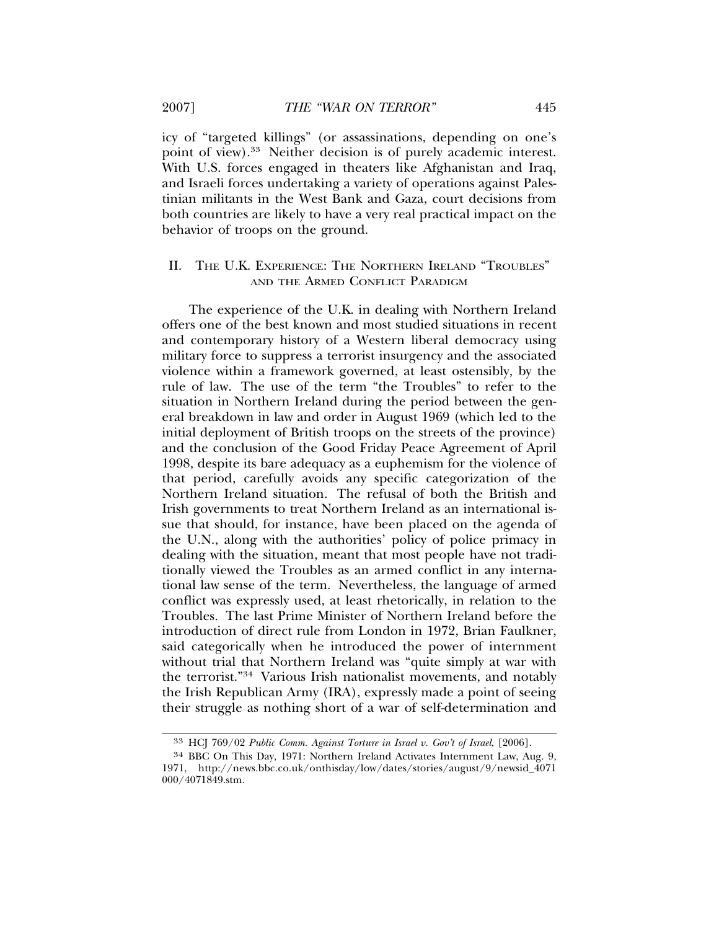icy of "targeted killings" (or assassinations, depending on one's point of view).<sup>33</sup> Neither decision is of purely academic interest. With U.S. forces engaged in theaters like Afghanistan and Iraq, and Israeli forces undertaking a variety of operations against Palestinian militants in the West Bank and Gaza, court decisions from both countries are likely to have a very real practical impact on the behavior of troops on the ground.

## II. THE U.K. EXPERIENCE: THE NORTHERN IRELAND "TROUBLES" AND THE ARMED CONFLICT PARADIGM

The experience of the U.K. in dealing with Northern Ireland offers one of the best known and most studied situations in recent and contemporary history of a Western liberal democracy using military force to suppress a terrorist insurgency and the associated violence within a framework governed, at least ostensibly, by the rule of law. The use of the term "the Troubles" to refer to the situation in Northern Ireland during the period between the general breakdown in law and order in August 1969 (which led to the initial deployment of British troops on the streets of the province) and the conclusion of the Good Friday Peace Agreement of April 1998, despite its bare adequacy as a euphemism for the violence of that period, carefully avoids any specific categorization of the Northern Ireland situation. The refusal of both the British and Irish governments to treat Northern Ireland as an international issue that should, for instance, have been placed on the agenda of the U.N., along with the authorities' policy of police primacy in dealing with the situation, meant that most people have not traditionally viewed the Troubles as an armed conflict in any international law sense of the term. Nevertheless, the language of armed conflict was expressly used, at least rhetorically, in relation to the Troubles. The last Prime Minister of Northern Ireland before the introduction of direct rule from London in 1972, Brian Faulkner, said categorically when he introduced the power of internment without trial that Northern Ireland was "quite simply at war with the terrorist."34 Various Irish nationalist movements, and notably the Irish Republican Army (IRA), expressly made a point of seeing their struggle as nothing short of a war of self-determination and

<sup>33</sup> HCJ 769/02 *Public Comm. Against Torture in Israel v. Gov't of Israel*, [2006].

<sup>34</sup> BBC On This Day, 1971: Northern Ireland Activates Internment Law, Aug. 9, 1971, http://news.bbc.co.uk/onthisday/low/dates/stories/august/9/newsid\_4071 000/4071849.stm.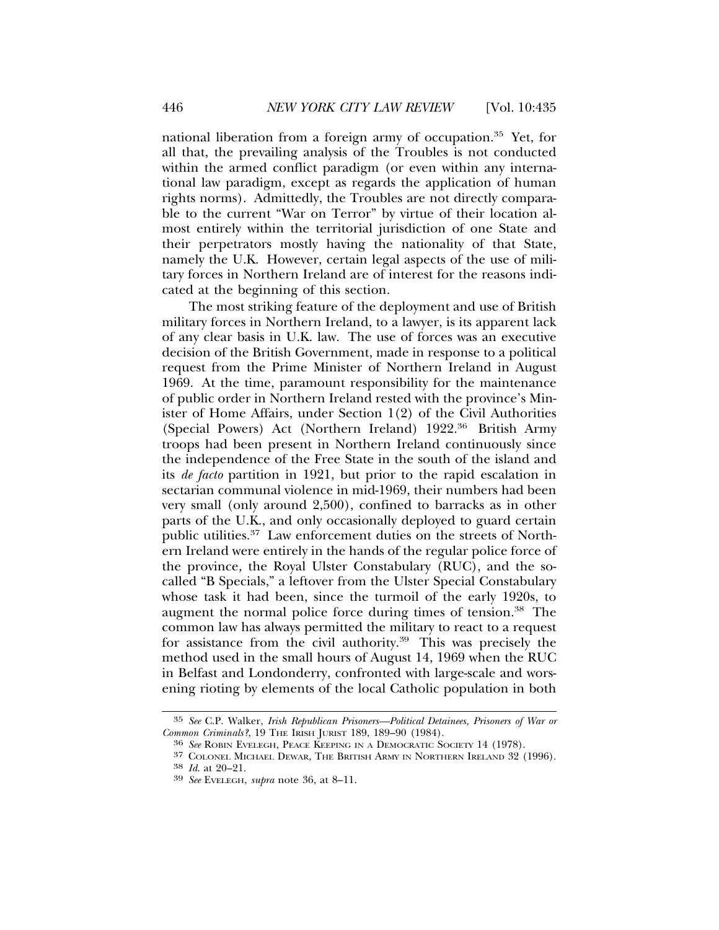national liberation from a foreign army of occupation.35 Yet, for all that, the prevailing analysis of the Troubles is not conducted within the armed conflict paradigm (or even within any international law paradigm, except as regards the application of human rights norms). Admittedly, the Troubles are not directly comparable to the current "War on Terror" by virtue of their location almost entirely within the territorial jurisdiction of one State and their perpetrators mostly having the nationality of that State, namely the U.K. However, certain legal aspects of the use of military forces in Northern Ireland are of interest for the reasons indicated at the beginning of this section.

The most striking feature of the deployment and use of British military forces in Northern Ireland, to a lawyer, is its apparent lack of any clear basis in U.K. law. The use of forces was an executive decision of the British Government, made in response to a political request from the Prime Minister of Northern Ireland in August 1969. At the time, paramount responsibility for the maintenance of public order in Northern Ireland rested with the province's Minister of Home Affairs, under Section 1(2) of the Civil Authorities (Special Powers) Act (Northern Ireland) 1922.36 British Army troops had been present in Northern Ireland continuously since the independence of the Free State in the south of the island and its *de facto* partition in 1921, but prior to the rapid escalation in sectarian communal violence in mid-1969, their numbers had been very small (only around 2,500), confined to barracks as in other parts of the U.K., and only occasionally deployed to guard certain public utilities.37 Law enforcement duties on the streets of Northern Ireland were entirely in the hands of the regular police force of the province, the Royal Ulster Constabulary (RUC), and the socalled "B Specials," a leftover from the Ulster Special Constabulary whose task it had been, since the turmoil of the early 1920s, to augment the normal police force during times of tension.38 The common law has always permitted the military to react to a request for assistance from the civil authority.<sup>39</sup> This was precisely the method used in the small hours of August 14, 1969 when the RUC in Belfast and Londonderry, confronted with large-scale and worsening rioting by elements of the local Catholic population in both

<sup>35</sup> *See* C.P. Walker, *Irish Republican Prisoners—Political Detainees, Prisoners of War or*

*Common Criminals?*, 19 THE IRISH JURIST 189, 189–90 (1984). <sup>36</sup> *See* ROBIN EVELEGH, PEACE KEEPING IN A DEMOCRATIC SOCIETY 14 (1978).

<sup>37</sup> COLONEL MICHAEL DEWAR, THE BRITISH ARMY IN NORTHERN IRELAND 32 (1996). <sup>38</sup> *Id*. at 20–21. <sup>39</sup> *See* EVELEGH, *supra* note 36, at 8–11.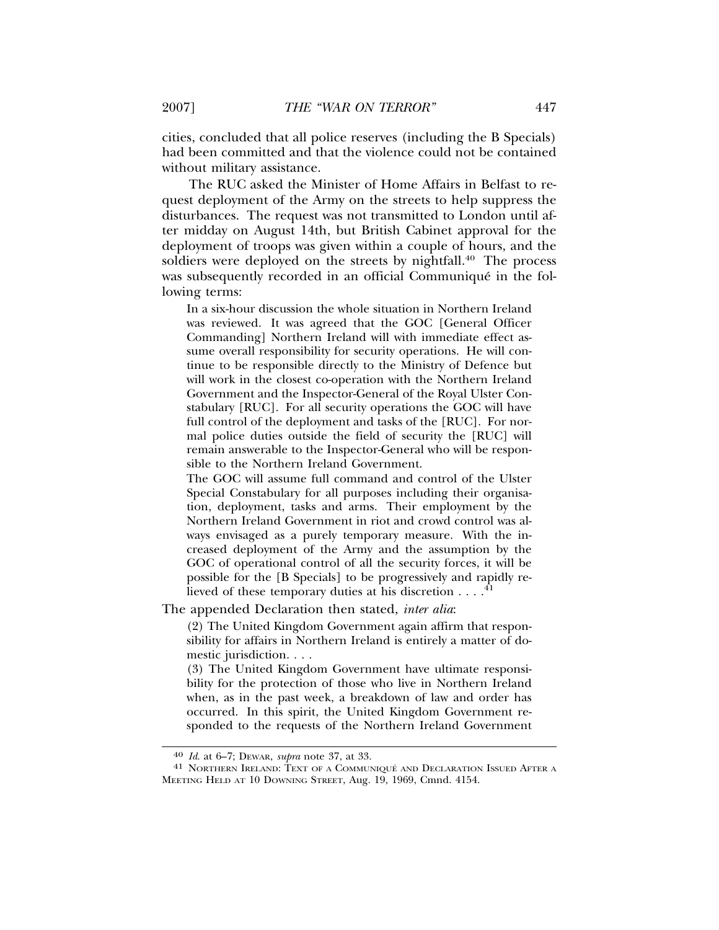cities, concluded that all police reserves (including the B Specials) had been committed and that the violence could not be contained without military assistance.

The RUC asked the Minister of Home Affairs in Belfast to request deployment of the Army on the streets to help suppress the disturbances. The request was not transmitted to London until after midday on August 14th, but British Cabinet approval for the deployment of troops was given within a couple of hours, and the soldiers were deployed on the streets by nightfall.<sup>40</sup> The process was subsequently recorded in an official Communiqué in the following terms:

In a six-hour discussion the whole situation in Northern Ireland was reviewed. It was agreed that the GOC [General Officer Commanding] Northern Ireland will with immediate effect assume overall responsibility for security operations. He will continue to be responsible directly to the Ministry of Defence but will work in the closest co-operation with the Northern Ireland Government and the Inspector-General of the Royal Ulster Constabulary [RUC]. For all security operations the GOC will have full control of the deployment and tasks of the [RUC]. For normal police duties outside the field of security the [RUC] will remain answerable to the Inspector-General who will be responsible to the Northern Ireland Government.

The GOC will assume full command and control of the Ulster Special Constabulary for all purposes including their organisation, deployment, tasks and arms. Their employment by the Northern Ireland Government in riot and crowd control was always envisaged as a purely temporary measure. With the increased deployment of the Army and the assumption by the GOC of operational control of all the security forces, it will be possible for the [B Specials] to be progressively and rapidly relieved of these temporary duties at his discretion  $\dots$ .<sup>41</sup>

The appended Declaration then stated, *inter alia*:

(2) The United Kingdom Government again affirm that responsibility for affairs in Northern Ireland is entirely a matter of domestic jurisdiction. . . .

(3) The United Kingdom Government have ultimate responsibility for the protection of those who live in Northern Ireland when, as in the past week, a breakdown of law and order has occurred. In this spirit, the United Kingdom Government responded to the requests of the Northern Ireland Government

<sup>&</sup>lt;sup>40</sup> *Id.* at 6–7; Dewar, *supra* note 37, at 33.<br><sup>41</sup> NORTHERN IRELAND: TEXT OF A COMMUNIQUÉ AND DECLARATION ISSUED AFTER A MEETING HELD AT 10 DOWNING STREET, Aug. 19, 1969, Cmnd. 4154.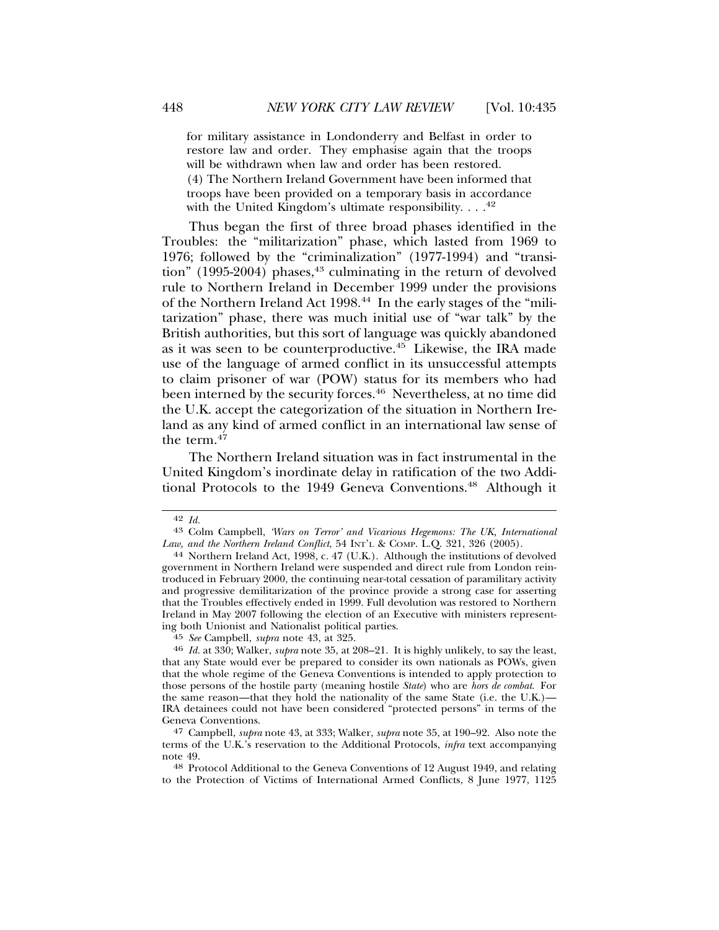for military assistance in Londonderry and Belfast in order to restore law and order. They emphasise again that the troops will be withdrawn when law and order has been restored. (4) The Northern Ireland Government have been informed that troops have been provided on a temporary basis in accordance with the United Kingdom's ultimate responsibility.  $\dots$ <sup>42</sup>

Thus began the first of three broad phases identified in the Troubles: the "militarization" phase, which lasted from 1969 to 1976; followed by the "criminalization" (1977-1994) and "transition" (1995-2004) phases,<sup>43</sup> culminating in the return of devolved rule to Northern Ireland in December 1999 under the provisions of the Northern Ireland Act 1998.<sup>44</sup> In the early stages of the "militarization" phase, there was much initial use of "war talk" by the British authorities, but this sort of language was quickly abandoned as it was seen to be counterproductive.45 Likewise, the IRA made use of the language of armed conflict in its unsuccessful attempts to claim prisoner of war (POW) status for its members who had been interned by the security forces.<sup>46</sup> Nevertheless, at no time did the U.K. accept the categorization of the situation in Northern Ireland as any kind of armed conflict in an international law sense of the term. $47$ 

The Northern Ireland situation was in fact instrumental in the United Kingdom's inordinate delay in ratification of the two Additional Protocols to the 1949 Geneva Conventions.<sup>48</sup> Although it

<sup>42</sup> *Id.* <sup>43</sup> Colm Campbell, *'Wars on Terror' and Vicarious Hegemons: The UK, International*

<sup>&</sup>lt;sup>44</sup> Northern Ireland Act, 1998, c. 47 (U.K.). Although the institutions of devolved government in Northern Ireland were suspended and direct rule from London reintroduced in February 2000, the continuing near-total cessation of paramilitary activity and progressive demilitarization of the province provide a strong case for asserting that the Troubles effectively ended in 1999. Full devolution was restored to Northern Ireland in May 2007 following the election of an Executive with ministers representing both Unionist and Nationalist political parties.<br><sup>45</sup> See Campbell, supra note 43, at 325.

<sup>&</sup>lt;sup>46</sup> *Id.* at 330; Walker, *supra* note 35, at 208–21. It is highly unlikely, to say the least, that any State would ever be prepared to consider its own nationals as POWs, given that the whole regime of the Geneva Conventions is intended to apply protection to those persons of the hostile party (meaning hostile *State*) who are *hors de combat*. For the same reason—that they hold the nationality of the same State (i.e. the U.K.)— IRA detainees could not have been considered "protected persons" in terms of the Geneva Conventions.

<sup>47</sup> Campbell, *supra* note 43, at 333; Walker, *supra* note 35, at 190–92. Also note the terms of the U.K.'s reservation to the Additional Protocols, *infra* text accompanying note 49. <sup>48</sup> Protocol Additional to the Geneva Conventions of 12 August 1949, and relating

to the Protection of Victims of International Armed Conflicts, 8 June 1977, 1125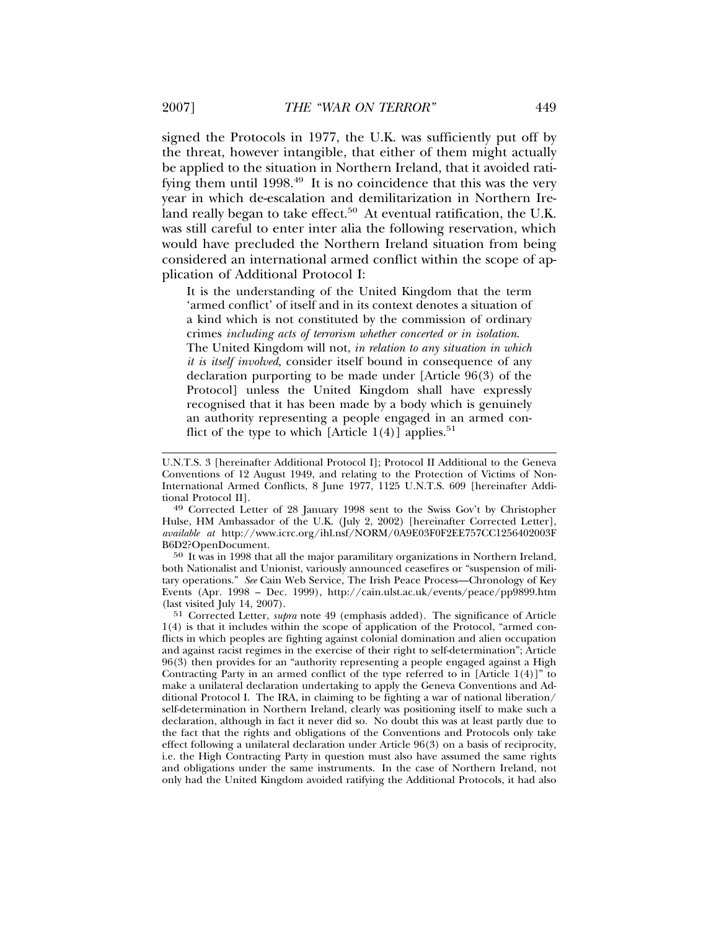signed the Protocols in 1977, the U.K. was sufficiently put off by the threat, however intangible, that either of them might actually be applied to the situation in Northern Ireland, that it avoided ratifying them until 1998.<sup>49</sup> It is no coincidence that this was the very year in which de-escalation and demilitarization in Northern Ireland really began to take effect.<sup>50</sup> At eventual ratification, the U.K. was still careful to enter inter alia the following reservation, which would have precluded the Northern Ireland situation from being considered an international armed conflict within the scope of application of Additional Protocol I:

It is the understanding of the United Kingdom that the term 'armed conflict' of itself and in its context denotes a situation of a kind which is not constituted by the commission of ordinary crimes *including acts of terrorism whether concerted or in isolation*. The United Kingdom will not, *in relation to any situation in which it is itself involved*, consider itself bound in consequence of any declaration purporting to be made under [Article 96(3) of the Protocol] unless the United Kingdom shall have expressly recognised that it has been made by a body which is genuinely an authority representing a people engaged in an armed conflict of the type to which [Article  $1(4)$ ] applies.<sup>51</sup>

tional Protocol II]. <sup>49</sup> Corrected Letter of 28 January 1998 sent to the Swiss Gov't by Christopher Hulse, HM Ambassador of the U.K. (July 2, 2002) [hereinafter Corrected Letter], *available at* http://www.icrc.org/ihl.nsf/NORM/0A9E03F0F2EE757CC1256402003F B6D2?OpenDocument.

50 It was in 1998 that all the major paramilitary organizations in Northern Ireland, both Nationalist and Unionist, variously announced ceasefires or "suspension of military operations." *See* Cain Web Service, The Irish Peace Process—Chronology of Key Events (Apr. 1998 – Dec. 1999), http://cain.ulst.ac.uk/events/peace/pp9899.htm (last visited July 14, 2007).

51 Corrected Letter, *supra* note 49 (emphasis added). The significance of Article 1(4) is that it includes within the scope of application of the Protocol, "armed conflicts in which peoples are fighting against colonial domination and alien occupation and against racist regimes in the exercise of their right to self-determination"; Article 96(3) then provides for an "authority representing a people engaged against a High Contracting Party in an armed conflict of the type referred to in [Article  $1(4)$ ]" to make a unilateral declaration undertaking to apply the Geneva Conventions and Additional Protocol I. The IRA, in claiming to be fighting a war of national liberation/ self-determination in Northern Ireland, clearly was positioning itself to make such a declaration, although in fact it never did so. No doubt this was at least partly due to the fact that the rights and obligations of the Conventions and Protocols only take effect following a unilateral declaration under Article 96(3) on a basis of reciprocity, i.e. the High Contracting Party in question must also have assumed the same rights and obligations under the same instruments. In the case of Northern Ireland, not only had the United Kingdom avoided ratifying the Additional Protocols, it had also

U.N.T.S. 3 [hereinafter Additional Protocol I]; Protocol II Additional to the Geneva Conventions of 12 August 1949, and relating to the Protection of Victims of Non-International Armed Conflicts, 8 June 1977, 1125 U.N.T.S. 609 [hereinafter Addi-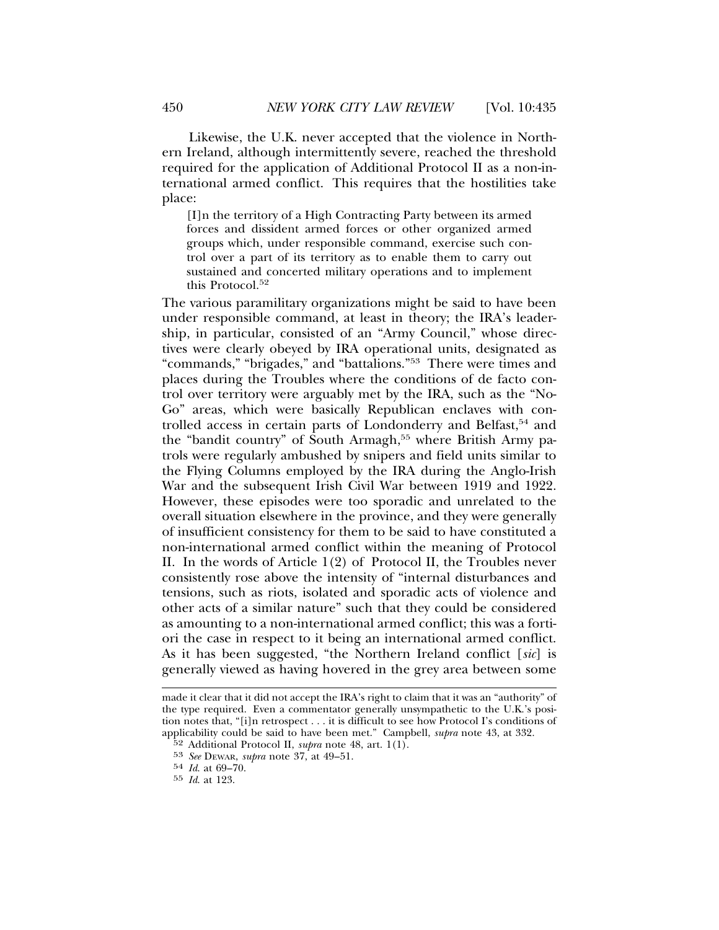Likewise, the U.K. never accepted that the violence in Northern Ireland, although intermittently severe, reached the threshold required for the application of Additional Protocol II as a non-international armed conflict. This requires that the hostilities take place:

[I]n the territory of a High Contracting Party between its armed forces and dissident armed forces or other organized armed groups which, under responsible command, exercise such control over a part of its territory as to enable them to carry out sustained and concerted military operations and to implement this Protocol.<sup>52</sup>

The various paramilitary organizations might be said to have been under responsible command, at least in theory; the IRA's leadership, in particular, consisted of an "Army Council," whose directives were clearly obeyed by IRA operational units, designated as "commands," "brigades," and "battalions."53 There were times and places during the Troubles where the conditions of de facto control over territory were arguably met by the IRA, such as the "No-Go" areas, which were basically Republican enclaves with controlled access in certain parts of Londonderry and Belfast,<sup>54</sup> and the "bandit country" of South Armagh,<sup>55</sup> where British Army patrols were regularly ambushed by snipers and field units similar to the Flying Columns employed by the IRA during the Anglo-Irish War and the subsequent Irish Civil War between 1919 and 1922. However, these episodes were too sporadic and unrelated to the overall situation elsewhere in the province, and they were generally of insufficient consistency for them to be said to have constituted a non-international armed conflict within the meaning of Protocol II. In the words of Article 1(2) of Protocol II, the Troubles never consistently rose above the intensity of "internal disturbances and tensions, such as riots, isolated and sporadic acts of violence and other acts of a similar nature" such that they could be considered as amounting to a non-international armed conflict; this was a fortiori the case in respect to it being an international armed conflict. As it has been suggested, "the Northern Ireland conflict [*sic*] is generally viewed as having hovered in the grey area between some

made it clear that it did not accept the IRA's right to claim that it was an "authority" of the type required. Even a commentator generally unsympathetic to the U.K.'s position notes that, "[i]n retrospect . . . it is difficult to see how Protocol I's conditions of applicability could be said to have been met." Campbell, *supra* note 43, at 332.

<sup>52</sup> Additional Protocol II, *supra* note 48, art. 1(1).

<sup>53</sup> *See* DEWAR, *supra* note 37, at 49–51.

<sup>54</sup> *Id*. at 69–70.

<sup>55</sup> *Id*. at 123.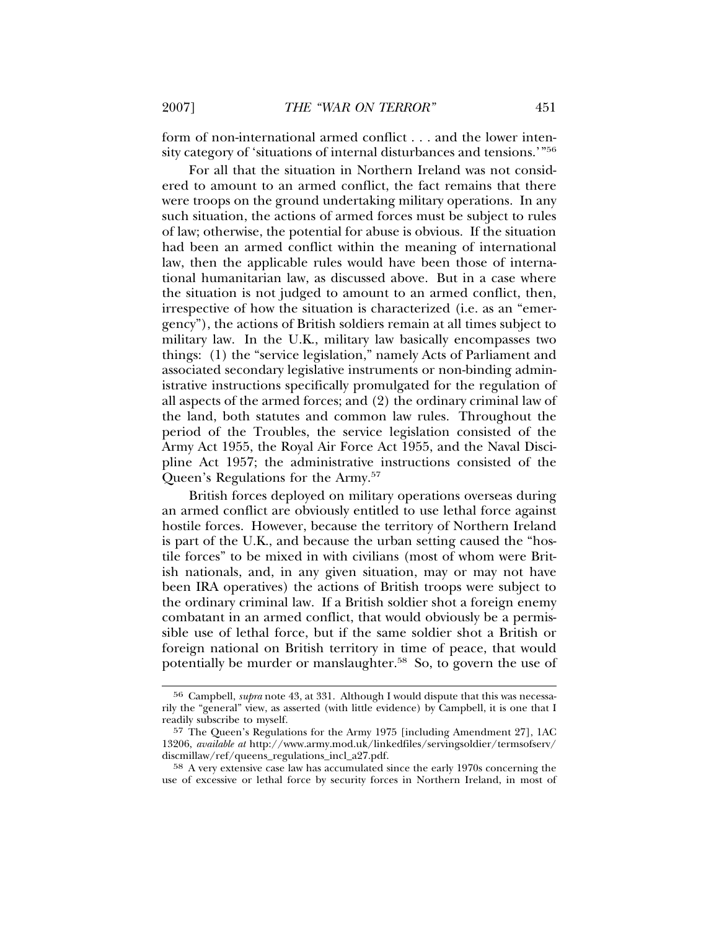form of non-international armed conflict . . . and the lower intensity category of 'situations of internal disturbances and tensions.'"56

For all that the situation in Northern Ireland was not considered to amount to an armed conflict, the fact remains that there were troops on the ground undertaking military operations. In any such situation, the actions of armed forces must be subject to rules of law; otherwise, the potential for abuse is obvious. If the situation had been an armed conflict within the meaning of international law, then the applicable rules would have been those of international humanitarian law, as discussed above. But in a case where the situation is not judged to amount to an armed conflict, then, irrespective of how the situation is characterized (i.e. as an "emergency"), the actions of British soldiers remain at all times subject to military law. In the U.K., military law basically encompasses two things: (1) the "service legislation," namely Acts of Parliament and associated secondary legislative instruments or non-binding administrative instructions specifically promulgated for the regulation of all aspects of the armed forces; and (2) the ordinary criminal law of the land, both statutes and common law rules. Throughout the period of the Troubles, the service legislation consisted of the Army Act 1955, the Royal Air Force Act 1955, and the Naval Discipline Act 1957; the administrative instructions consisted of the Queen's Regulations for the Army.<sup>57</sup>

British forces deployed on military operations overseas during an armed conflict are obviously entitled to use lethal force against hostile forces. However, because the territory of Northern Ireland is part of the U.K., and because the urban setting caused the "hostile forces" to be mixed in with civilians (most of whom were British nationals, and, in any given situation, may or may not have been IRA operatives) the actions of British troops were subject to the ordinary criminal law. If a British soldier shot a foreign enemy combatant in an armed conflict, that would obviously be a permissible use of lethal force, but if the same soldier shot a British or foreign national on British territory in time of peace, that would potentially be murder or manslaughter.<sup>58</sup> So, to govern the use of

<sup>56</sup> Campbell, *supra* note 43, at 331. Although I would dispute that this was necessarily the "general" view, as asserted (with little evidence) by Campbell, it is one that I readily subscribe to myself.

<sup>57</sup> The Queen's Regulations for the Army 1975 [including Amendment 27], 1AC 13206, *available at* http://www.army.mod.uk/linkedfiles/servingsoldier/termsofserv/ discmillaw/ref/queens\_regulations\_incl\_a27.pdf.

<sup>58</sup> A very extensive case law has accumulated since the early 1970s concerning the use of excessive or lethal force by security forces in Northern Ireland, in most of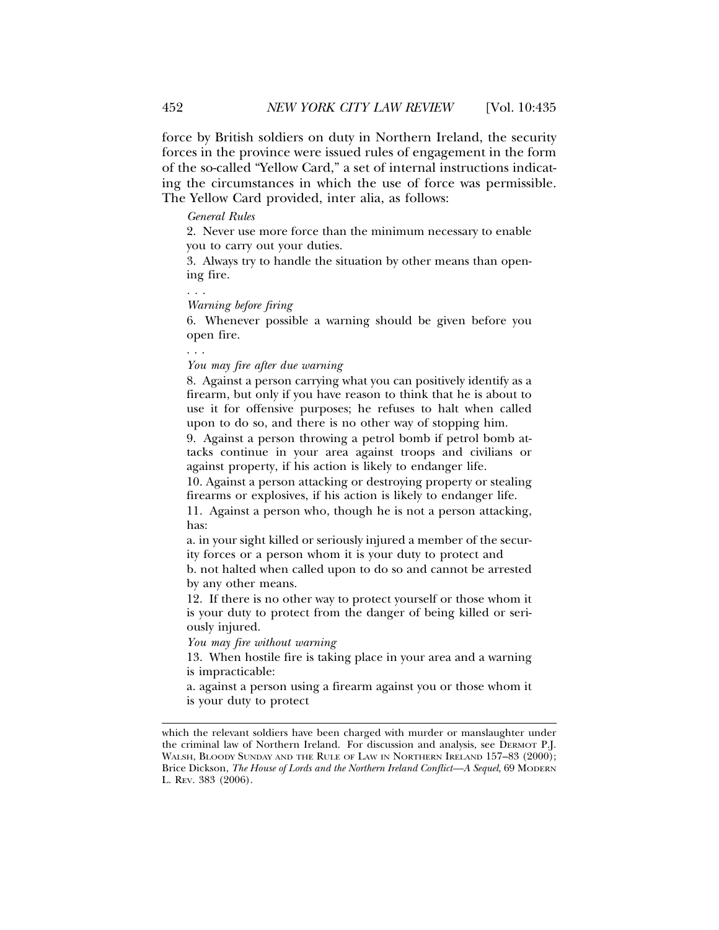force by British soldiers on duty in Northern Ireland, the security forces in the province were issued rules of engagement in the form of the so-called "Yellow Card," a set of internal instructions indicating the circumstances in which the use of force was permissible. The Yellow Card provided, inter alia, as follows:

#### *General Rules*

2. Never use more force than the minimum necessary to enable you to carry out your duties.

3. Always try to handle the situation by other means than opening fire.

*. . . Warning before firing*

6. Whenever possible a warning should be given before you open fire.

. . .

*You may fire after due warning*

8. Against a person carrying what you can positively identify as a firearm, but only if you have reason to think that he is about to use it for offensive purposes; he refuses to halt when called upon to do so, and there is no other way of stopping him.

9. Against a person throwing a petrol bomb if petrol bomb attacks continue in your area against troops and civilians or against property, if his action is likely to endanger life.

10. Against a person attacking or destroying property or stealing firearms or explosives, if his action is likely to endanger life.

11. Against a person who, though he is not a person attacking, has:

a. in your sight killed or seriously injured a member of the security forces or a person whom it is your duty to protect and

b. not halted when called upon to do so and cannot be arrested by any other means.

12. If there is no other way to protect yourself or those whom it is your duty to protect from the danger of being killed or seriously injured.

*You may fire without warning*

13. When hostile fire is taking place in your area and a warning is impracticable:

a. against a person using a firearm against you or those whom it is your duty to protect

which the relevant soldiers have been charged with murder or manslaughter under the criminal law of Northern Ireland. For discussion and analysis, see DERMOT P.J. WALSH, BLOODY SUNDAY AND THE RULE OF LAW IN NORTHERN IRELAND 157-83 (2000); Brice Dickson, *The House of Lords and the Northern Ireland Conflict—A Sequel*, 69 MODERN L. REV. 383 (2006).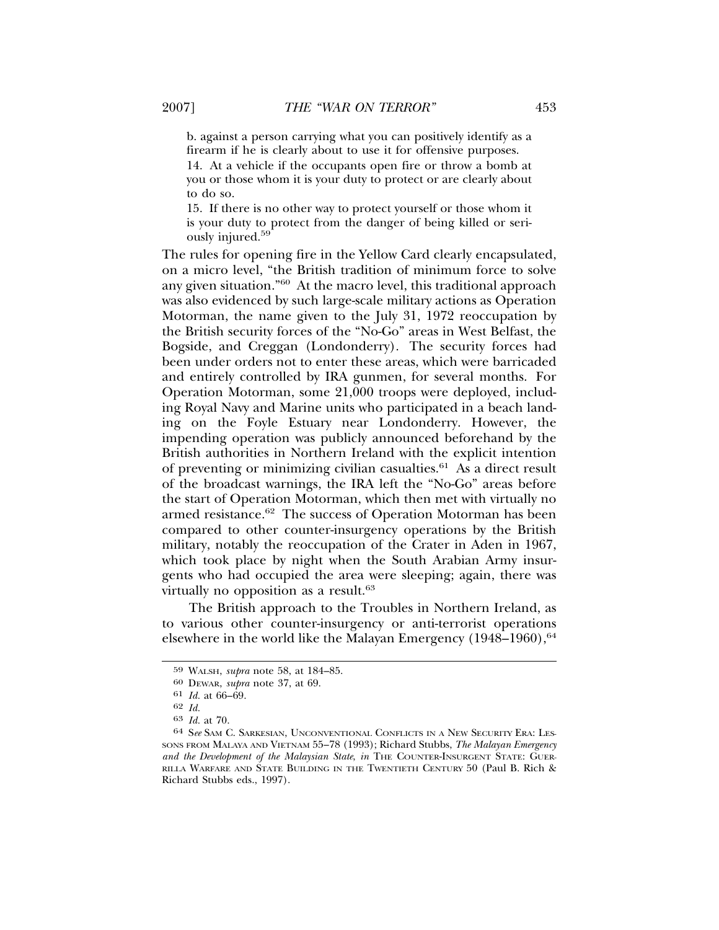b. against a person carrying what you can positively identify as a firearm if he is clearly about to use it for offensive purposes. 14. At a vehicle if the occupants open fire or throw a bomb at you or those whom it is your duty to protect or are clearly about to do so.

15. If there is no other way to protect yourself or those whom it is your duty to protect from the danger of being killed or seriously injured.<sup>59</sup>

The rules for opening fire in the Yellow Card clearly encapsulated, on a micro level, "the British tradition of minimum force to solve any given situation."60 At the macro level, this traditional approach was also evidenced by such large-scale military actions as Operation Motorman, the name given to the July 31, 1972 reoccupation by the British security forces of the "No-Go" areas in West Belfast, the Bogside, and Creggan (Londonderry). The security forces had been under orders not to enter these areas, which were barricaded and entirely controlled by IRA gunmen, for several months. For Operation Motorman, some 21,000 troops were deployed, including Royal Navy and Marine units who participated in a beach landing on the Foyle Estuary near Londonderry. However, the impending operation was publicly announced beforehand by the British authorities in Northern Ireland with the explicit intention of preventing or minimizing civilian casualties. $61$  As a direct result of the broadcast warnings, the IRA left the "No-Go" areas before the start of Operation Motorman, which then met with virtually no armed resistance.<sup>62</sup> The success of Operation Motorman has been compared to other counter-insurgency operations by the British military, notably the reoccupation of the Crater in Aden in 1967, which took place by night when the South Arabian Army insurgents who had occupied the area were sleeping; again, there was virtually no opposition as a result.<sup>63</sup>

The British approach to the Troubles in Northern Ireland, as to various other counter-insurgency or anti-terrorist operations elsewhere in the world like the Malayan Emergency  $(1948-1960)$ ,  $64$ 

<sup>59</sup> WALSH, *supra* note 58, at 184–85.

<sup>60</sup> DEWAR, *supra* note 37, at 69.

<sup>61</sup> *Id.* at 66–69.

<sup>62</sup> *Id.*

<sup>63</sup> *Id.* at 70.

<sup>64</sup> S*ee* SAM C. SARKESIAN, UNCONVENTIONAL CONFLICTS IN A NEW SECURITY ERA: LES-SONS FROM MALAYA AND VIETNAM 55–78 (1993); Richard Stubbs, *The Malayan Emergency and the Development of the Malaysian State*, *in* THE COUNTER-INSURGENT STATE: GUER-RILLA WARFARE AND STATE BUILDING IN THE TWENTIETH CENTURY 50 (Paul B. Rich & Richard Stubbs eds., 1997).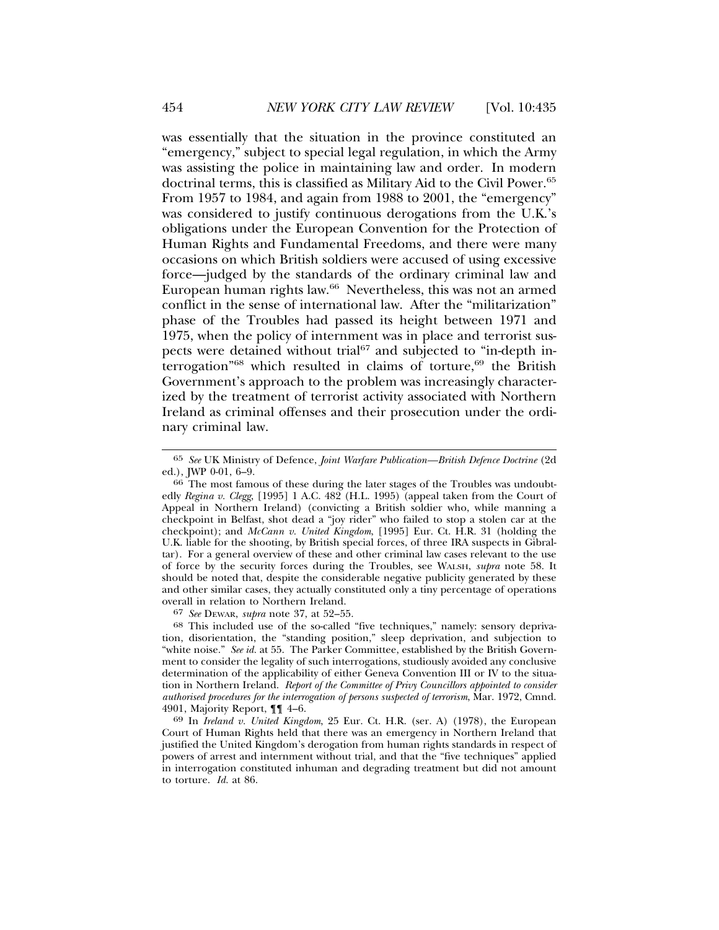was essentially that the situation in the province constituted an "emergency," subject to special legal regulation, in which the Army was assisting the police in maintaining law and order. In modern doctrinal terms, this is classified as Military Aid to the Civil Power.65 From 1957 to 1984, and again from 1988 to 2001, the "emergency" was considered to justify continuous derogations from the U.K.'s obligations under the European Convention for the Protection of Human Rights and Fundamental Freedoms, and there were many occasions on which British soldiers were accused of using excessive force—judged by the standards of the ordinary criminal law and European human rights law.66 Nevertheless, this was not an armed conflict in the sense of international law. After the "militarization" phase of the Troubles had passed its height between 1971 and 1975, when the policy of internment was in place and terrorist suspects were detained without trial<sup>67</sup> and subjected to "in-depth interrogation"<sup>68</sup> which resulted in claims of torture,<sup>69</sup> the British Government's approach to the problem was increasingly characterized by the treatment of terrorist activity associated with Northern Ireland as criminal offenses and their prosecution under the ordinary criminal law.

67 *See* DEWAR, *supra* note 37, at 52–55.

68 This included use of the so-called "five techniques," namely: sensory deprivation, disorientation, the "standing position," sleep deprivation, and subjection to "white noise." See id. at 55. The Parker Committee, established by the British Government to consider the legality of such interrogations, studiously avoided any conclusive determination of the applicability of either Geneva Convention III or IV to the situation in Northern Ireland. *Report of the Committee of Privy Councillors appointed to consider authorised procedures for the interrogation of persons suspected of terrorism*, Mar. 1972, Cmnd. 4901, Majority Report, ¶¶ 4–6.

69 In *Ireland v. United Kingdom*, 25 Eur. Ct. H.R. (ser. A) (1978), the European Court of Human Rights held that there was an emergency in Northern Ireland that justified the United Kingdom's derogation from human rights standards in respect of powers of arrest and internment without trial, and that the "five techniques" applied in interrogation constituted inhuman and degrading treatment but did not amount to torture. *Id.* at 86.

<sup>65</sup> *See* UK Ministry of Defence, *Joint Warfare Publication—British Defence Doctrine* (2d ed.), JWP 0-01, 6–9.

<sup>66</sup> The most famous of these during the later stages of the Troubles was undoubtedly *Regina v. Clegg*, [1995] 1 A.C. 482 (H.L. 1995) (appeal taken from the Court of Appeal in Northern Ireland) (convicting a British soldier who, while manning a checkpoint in Belfast, shot dead a "joy rider" who failed to stop a stolen car at the checkpoint); and *McCann v. United Kingdom*, [1995] Eur. Ct. H.R. 31 (holding the U.K. liable for the shooting, by British special forces, of three IRA suspects in Gibraltar). For a general overview of these and other criminal law cases relevant to the use of force by the security forces during the Troubles, see WALSH, *supra* note 58. It should be noted that, despite the considerable negative publicity generated by these and other similar cases, they actually constituted only a tiny percentage of operations overall in relation to Northern Ireland.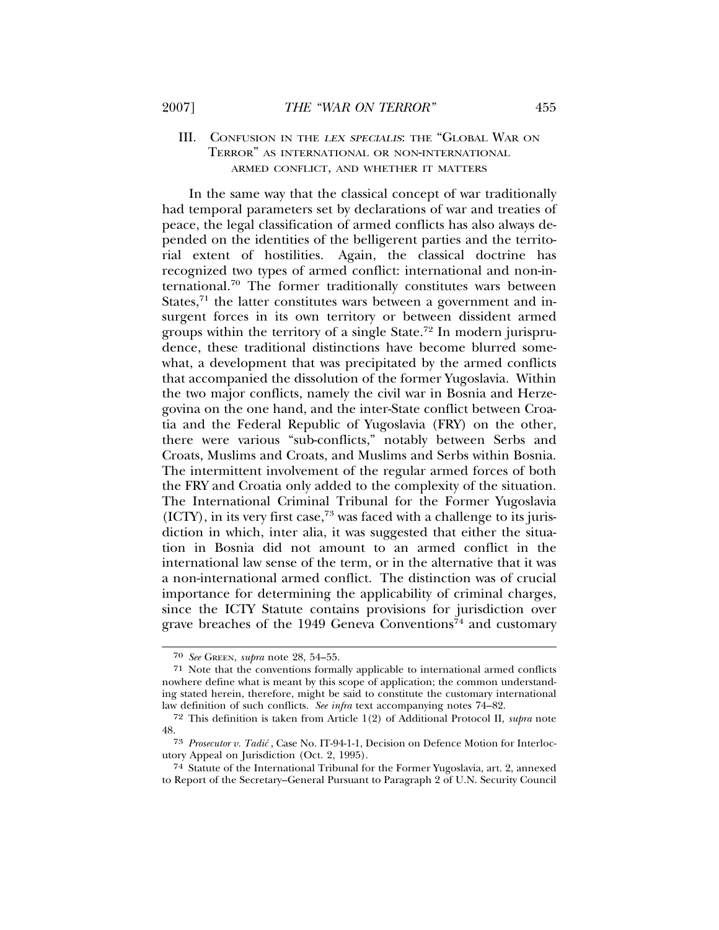## III. CONFUSION IN THE LEX SPECIALIS: THE "GLOBAL WAR ON TERROR" AS INTERNATIONAL OR NON-INTERNATIONAL ARMED CONFLICT, AND WHETHER IT MATTERS

In the same way that the classical concept of war traditionally had temporal parameters set by declarations of war and treaties of peace, the legal classification of armed conflicts has also always depended on the identities of the belligerent parties and the territorial extent of hostilities. Again, the classical doctrine has recognized two types of armed conflict: international and non-international.70 The former traditionally constitutes wars between States,<sup>71</sup> the latter constitutes wars between a government and insurgent forces in its own territory or between dissident armed groups within the territory of a single State.72 In modern jurisprudence, these traditional distinctions have become blurred somewhat, a development that was precipitated by the armed conflicts that accompanied the dissolution of the former Yugoslavia. Within the two major conflicts, namely the civil war in Bosnia and Herzegovina on the one hand, and the inter-State conflict between Croatia and the Federal Republic of Yugoslavia (FRY) on the other, there were various "sub-conflicts," notably between Serbs and Croats, Muslims and Croats, and Muslims and Serbs within Bosnia. The intermittent involvement of the regular armed forces of both the FRY and Croatia only added to the complexity of the situation. The International Criminal Tribunal for the Former Yugoslavia  $(ICTY)$ , in its very first case,<sup>73</sup> was faced with a challenge to its jurisdiction in which, inter alia, it was suggested that either the situation in Bosnia did not amount to an armed conflict in the international law sense of the term, or in the alternative that it was a non-international armed conflict. The distinction was of crucial importance for determining the applicability of criminal charges, since the ICTY Statute contains provisions for jurisdiction over grave breaches of the 1949 Geneva Conventions<sup>74</sup> and customary

<sup>70</sup> *See* GREEN, *supra* note 28, 54–55.

<sup>71</sup> Note that the conventions formally applicable to international armed conflicts nowhere define what is meant by this scope of application; the common understanding stated herein, therefore, might be said to constitute the customary international law definition of such conflicts. *See infra* text accompanying notes 74–82.

<sup>72</sup> This definition is taken from Article 1(2) of Additional Protocol II, *supra* note 48.

<sup>73</sup> *Prosecutor v. Tadic´* , Case No. IT-94-1-1, Decision on Defence Motion for Interlocutory Appeal on Jurisdiction (Oct. 2, 1995).

<sup>74</sup> Statute of the International Tribunal for the Former Yugoslavia, art. 2, annexed to Report of the Secretary–General Pursuant to Paragraph 2 of U.N. Security Council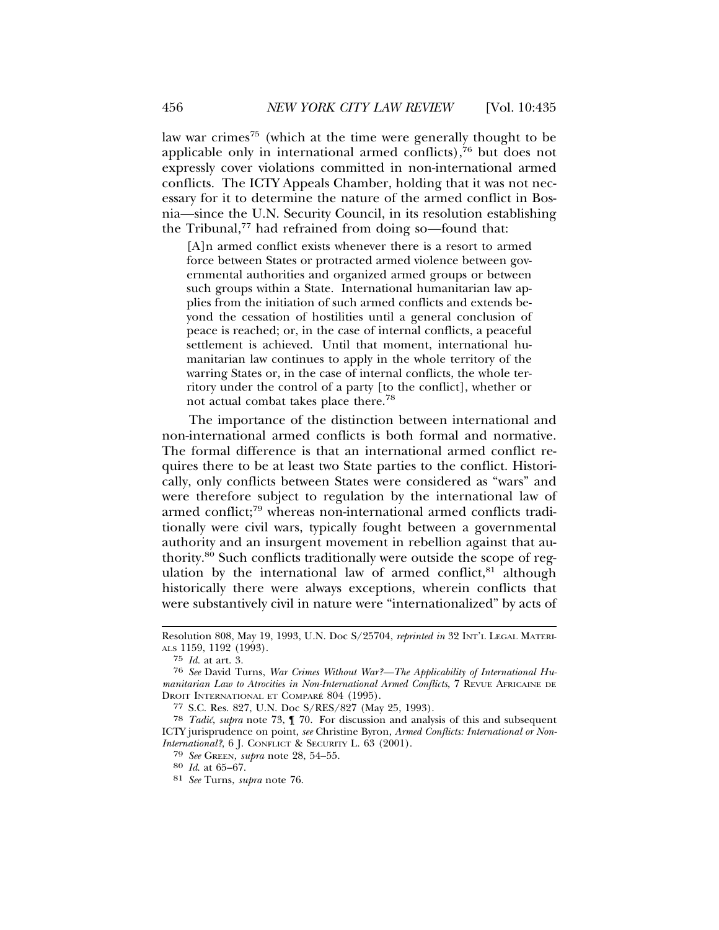law war crimes<sup>75</sup> (which at the time were generally thought to be applicable only in international armed conflicts), $76$  but does not expressly cover violations committed in non-international armed conflicts. The ICTY Appeals Chamber, holding that it was not necessary for it to determine the nature of the armed conflict in Bosnia—since the U.N. Security Council, in its resolution establishing the Tribunal, $77$  had refrained from doing so—found that:

[A]n armed conflict exists whenever there is a resort to armed force between States or protracted armed violence between governmental authorities and organized armed groups or between such groups within a State. International humanitarian law applies from the initiation of such armed conflicts and extends beyond the cessation of hostilities until a general conclusion of peace is reached; or, in the case of internal conflicts, a peaceful settlement is achieved. Until that moment, international humanitarian law continues to apply in the whole territory of the warring States or, in the case of internal conflicts, the whole territory under the control of a party [to the conflict], whether or not actual combat takes place there.<sup>78</sup>

The importance of the distinction between international and non-international armed conflicts is both formal and normative. The formal difference is that an international armed conflict requires there to be at least two State parties to the conflict. Historically, only conflicts between States were considered as "wars" and were therefore subject to regulation by the international law of armed conflict;79 whereas non-international armed conflicts traditionally were civil wars, typically fought between a governmental authority and an insurgent movement in rebellion against that authority.80 Such conflicts traditionally were outside the scope of regulation by the international law of armed conflict. $81$  although historically there were always exceptions, wherein conflicts that were substantively civil in nature were "internationalized" by acts of

77 S.C. Res. 827, U.N. Doc S/RES/827 (May 25, 1993).

<sup>79</sup> *See* GREEN, *supra* note 28, 54–55. <sup>80</sup> *Id*. at 65–67.

Resolution 808, May 19, 1993, U.N. Doc S/25704, *reprinted in* 32 INT'L LEGAL MATERI-ALS 1159, 1192 (1993).

<sup>75</sup> *Id.* at art. 3.

<sup>76</sup> *See* David Turns, *War Crimes Without War?—The Applicability of International Humanitarian Law to Atrocities in Non-International Armed Conflicts*, 7 REVUE AFRICAINE DE DROIT INTERNATIONAL ET COMPARÉ 804 (1995).

<sup>78</sup> *Tadic´*, *supra* note 73, ¶ 70. For discussion and analysis of this and subsequent ICTY jurisprudence on point, *see* Christine Byron, *Armed Conflicts: International or Non-International?*, 6 J. CONFLICT & SECURITY L. 63 (2001).

<sup>81</sup> *See* Turns, *supra* note 76.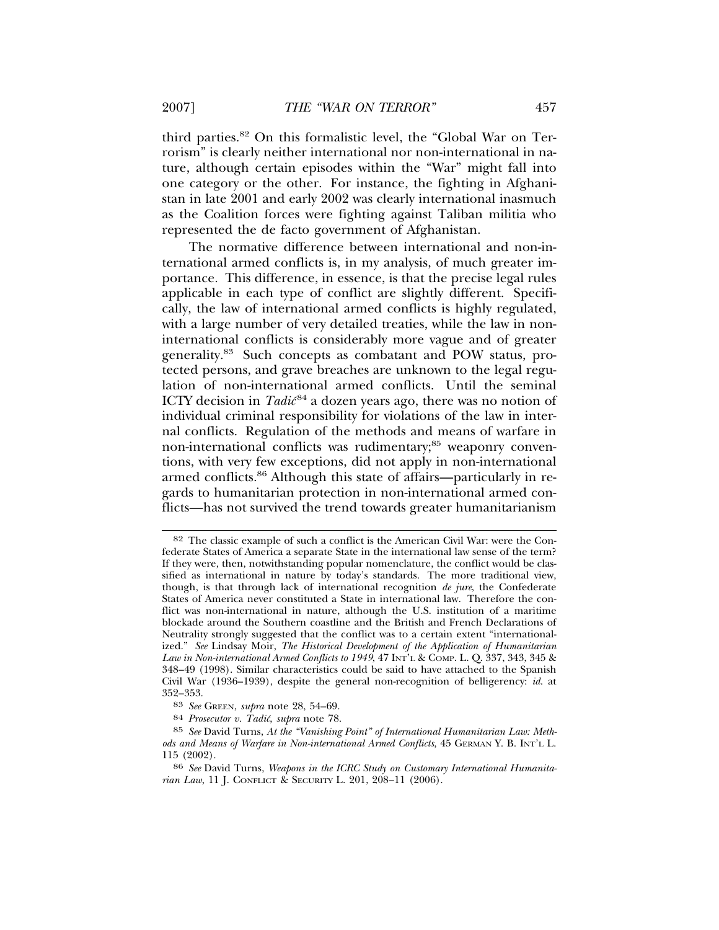third parties.82 On this formalistic level, the "Global War on Terrorism" is clearly neither international nor non-international in nature, although certain episodes within the "War" might fall into one category or the other. For instance, the fighting in Afghanistan in late 2001 and early 2002 was clearly international inasmuch as the Coalition forces were fighting against Taliban militia who represented the de facto government of Afghanistan.

The normative difference between international and non-international armed conflicts is, in my analysis, of much greater importance. This difference, in essence, is that the precise legal rules applicable in each type of conflict are slightly different. Specifically, the law of international armed conflicts is highly regulated, with a large number of very detailed treaties, while the law in noninternational conflicts is considerably more vague and of greater generality.83 Such concepts as combatant and POW status, protected persons, and grave breaches are unknown to the legal regulation of non-international armed conflicts. Until the seminal ICTY decision in *Tadic*<sup>84</sup> a dozen years ago, there was no notion of individual criminal responsibility for violations of the law in internal conflicts. Regulation of the methods and means of warfare in non-international conflicts was rudimentary;<sup>85</sup> weaponry conventions, with very few exceptions, did not apply in non-international armed conflicts.<sup>86</sup> Although this state of affairs—particularly in regards to humanitarian protection in non-international armed conflicts—has not survived the trend towards greater humanitarianism

<sup>82</sup> The classic example of such a conflict is the American Civil War: were the Confederate States of America a separate State in the international law sense of the term? If they were, then, notwithstanding popular nomenclature, the conflict would be classified as international in nature by today's standards. The more traditional view, though, is that through lack of international recognition *de jure*, the Confederate States of America never constituted a State in international law. Therefore the conflict was non-international in nature, although the U.S. institution of a maritime blockade around the Southern coastline and the British and French Declarations of Neutrality strongly suggested that the conflict was to a certain extent "internationalized." *See* Lindsay Moir, *The Historical Development of the Application of Humanitarian* Law in Non-international Armed Conflicts to 1949, 47 INT'L & COMP. L. Q. 337, 343, 345 & 348–49 (1998). Similar characteristics could be said to have attached to the Spanish Civil War (1936–1939), despite the general non-recognition of belligerency: *id*. at 352–353.

<sup>83</sup> *See* GREEN, *supra* note 28, 54–69.

<sup>84</sup> *Prosecutor v. Tadic´*, *supra* note 78.

<sup>85</sup> *See* David Turns, *At the "Vanishing Point" of International Humanitarian Law: Methods and Means of Warfare in Non-international Armed Conflicts*, 45 GERMAN Y. B. INT'L L. 115 (2002).

<sup>86</sup> *See* David Turns, *Weapons in the ICRC Study on Customary International Humanitarian Law*, 11 J. CONFLICT & SECURITY L. 201, 208–11 (2006).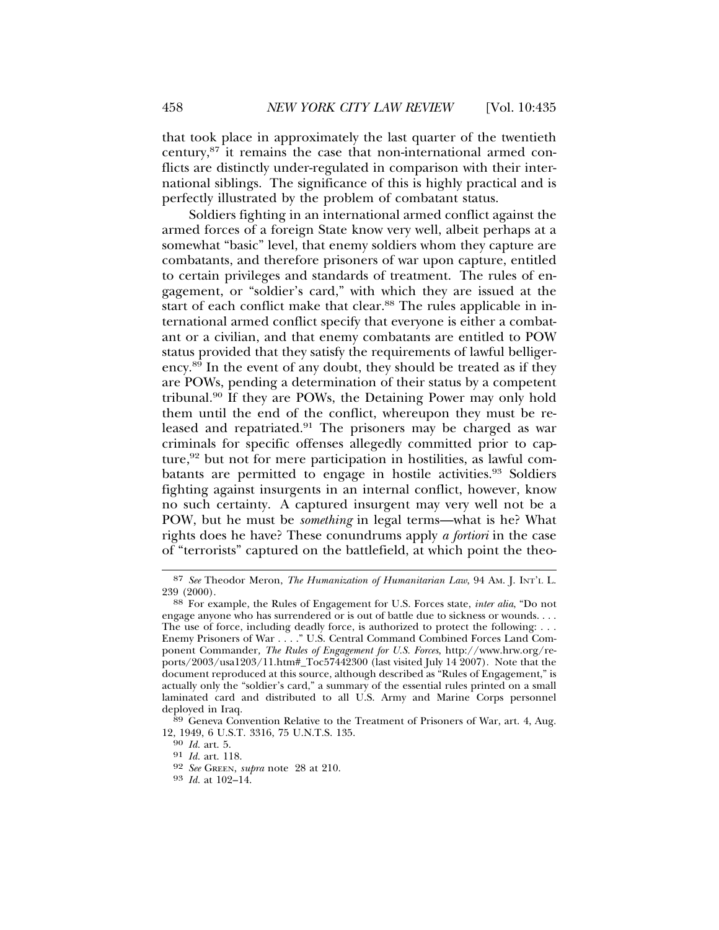that took place in approximately the last quarter of the twentieth century,87 it remains the case that non-international armed conflicts are distinctly under-regulated in comparison with their international siblings. The significance of this is highly practical and is perfectly illustrated by the problem of combatant status.

Soldiers fighting in an international armed conflict against the armed forces of a foreign State know very well, albeit perhaps at a somewhat "basic" level, that enemy soldiers whom they capture are combatants, and therefore prisoners of war upon capture, entitled to certain privileges and standards of treatment. The rules of engagement, or "soldier's card," with which they are issued at the start of each conflict make that clear.<sup>88</sup> The rules applicable in international armed conflict specify that everyone is either a combatant or a civilian, and that enemy combatants are entitled to POW status provided that they satisfy the requirements of lawful belligerency.89 In the event of any doubt, they should be treated as if they are POWs, pending a determination of their status by a competent tribunal.90 If they are POWs, the Detaining Power may only hold them until the end of the conflict, whereupon they must be released and repatriated.<sup>91</sup> The prisoners may be charged as war criminals for specific offenses allegedly committed prior to capture, $92$  but not for mere participation in hostilities, as lawful combatants are permitted to engage in hostile activities.<sup>93</sup> Soldiers fighting against insurgents in an internal conflict, however, know no such certainty. A captured insurgent may very well not be a POW, but he must be *something* in legal terms—what is he? What rights does he have? These conundrums apply *a fortiori* in the case of "terrorists" captured on the battlefield, at which point the theo-

<sup>87</sup> *See* Theodor Meron, *The Humanization of Humanitarian Law*, 94 AM. J. INT'L L.

<sup>&</sup>lt;sup>88</sup> For example, the Rules of Engagement for U.S. Forces state, *inter alia*, "Do not engage anyone who has surrendered or is out of battle due to sickness or wounds. . . . The use of force, including deadly force, is authorized to protect the following: . . . Enemy Prisoners of War . . . . " U.S. Central Command Combined Forces Land Component Commander*, The Rules of Engagement for U.S. Forces*, http://www.hrw.org/reports/2003/usa1203/11.htm#\_Toc57442300 (last visited July 14 2007). Note that the document reproduced at this source, although described as "Rules of Engagement," is actually only the "soldier's card," a summary of the essential rules printed on a small laminated card and distributed to all U.S. Army and Marine Corps personnel deployed in Iraq.

<sup>89</sup> Geneva Convention Relative to the Treatment of Prisoners of War, art. 4, Aug. 12, 1949, 6 U.S.T. 3316, 75 U.N.T.S. 135. <sup>90</sup> *Id.* art. 5.

<sup>91</sup> *Id.* art. 118. <sup>92</sup> *See* GREEN, *supra* note 28 at 210. <sup>93</sup> *Id.* at 102–14.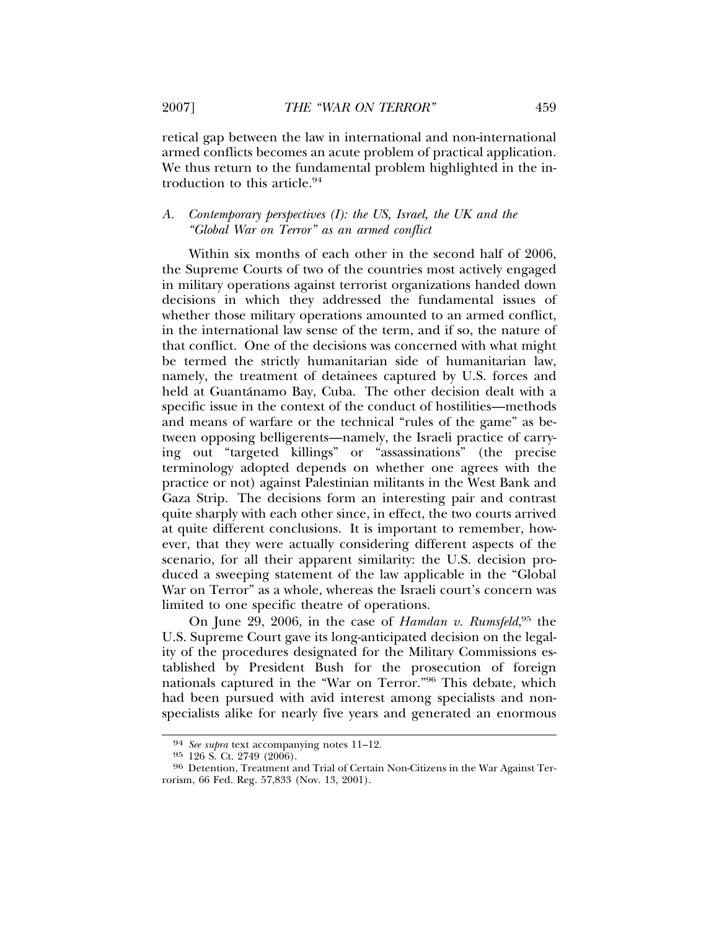retical gap between the law in international and non-international armed conflicts becomes an acute problem of practical application. We thus return to the fundamental problem highlighted in the introduction to this article.<sup>94</sup>

## *A. Contemporary perspectives (I): the US, Israel, the UK and the "Global War on Terror" as an armed conflict*

Within six months of each other in the second half of 2006, the Supreme Courts of two of the countries most actively engaged in military operations against terrorist organizations handed down decisions in which they addressed the fundamental issues of whether those military operations amounted to an armed conflict, in the international law sense of the term, and if so, the nature of that conflict. One of the decisions was concerned with what might be termed the strictly humanitarian side of humanitarian law, namely, the treatment of detainees captured by U.S. forces and held at Guantánamo Bay, Cuba. The other decision dealt with a specific issue in the context of the conduct of hostilities—methods and means of warfare or the technical "rules of the game" as between opposing belligerents—namely, the Israeli practice of carrying out "targeted killings" or "assassinations" (the precise terminology adopted depends on whether one agrees with the practice or not) against Palestinian militants in the West Bank and Gaza Strip. The decisions form an interesting pair and contrast quite sharply with each other since, in effect, the two courts arrived at quite different conclusions. It is important to remember, however, that they were actually considering different aspects of the scenario, for all their apparent similarity: the U.S. decision produced a sweeping statement of the law applicable in the "Global War on Terror" as a whole, whereas the Israeli court's concern was limited to one specific theatre of operations.

On June 29, 2006, in the case of *Hamdan v. Rumsfeld*,<sup>95</sup> the U.S. Supreme Court gave its long-anticipated decision on the legality of the procedures designated for the Military Commissions established by President Bush for the prosecution of foreign nationals captured in the "War on Terror."96 This debate, which had been pursued with avid interest among specialists and nonspecialists alike for nearly five years and generated an enormous

<sup>94</sup> *See supra* text accompanying notes 11–12.

<sup>96</sup> Detention, Treatment and Trial of Certain Non-Citizens in the War Against Terrorism, 66 Fed. Reg. 57,833 (Nov. 13, 2001).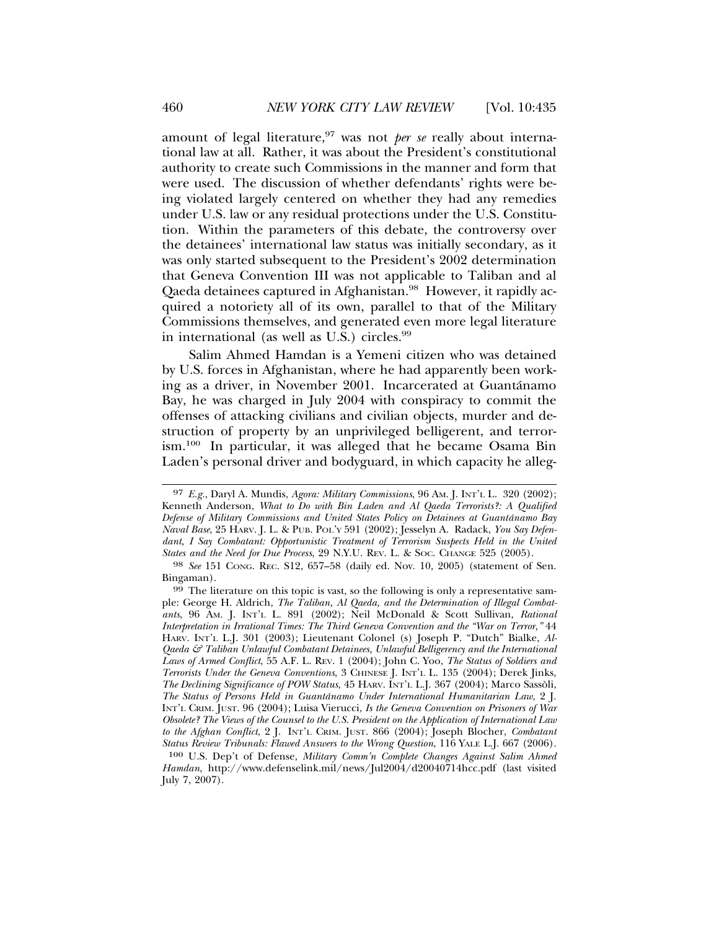amount of legal literature,<sup>97</sup> was not *per se* really about international law at all. Rather, it was about the President's constitutional authority to create such Commissions in the manner and form that were used. The discussion of whether defendants' rights were being violated largely centered on whether they had any remedies under U.S. law or any residual protections under the U.S. Constitution. Within the parameters of this debate, the controversy over the detainees' international law status was initially secondary, as it was only started subsequent to the President's 2002 determination that Geneva Convention III was not applicable to Taliban and al Qaeda detainees captured in Afghanistan.<sup>98</sup> However, it rapidly acquired a notoriety all of its own, parallel to that of the Military Commissions themselves, and generated even more legal literature in international (as well as U.S.) circles.<sup>99</sup>

Salim Ahmed Hamdan is a Yemeni citizen who was detained by U.S. forces in Afghanistan, where he had apparently been working as a driver, in November 2001. Incarcerated at Guantanamo ´ Bay, he was charged in July 2004 with conspiracy to commit the offenses of attacking civilians and civilian objects, murder and destruction of property by an unprivileged belligerent, and terrorism.100 In particular, it was alleged that he became Osama Bin Laden's personal driver and bodyguard, in which capacity he alleg-

<sup>97</sup> *E.g.*, Daryl A. Mundis, *Agora: Military Commissions*, 96 AM. J. INT'L L. 320 (2002); Kenneth Anderson, *What to Do with Bin Laden and Al Qaeda Terrorists?: A Qualified Defense of Military Commissions and United States Policy on Detainees at Guantanamo Bay ´ Naval Base*, 25 HARV. J. L. & PUB. POL'Y 591 (2002); Jesselyn A. Radack, *You Say Defendant, I Say Combatant: Opportunistic Treatment of Terrorism Suspects Held in the United States and the Need for Due Process*, 29 N.Y.U. REV. L. & SOC. CHANGE 525 (2005).

<sup>98</sup> *See* 151 CONG. REC. S12, 657–58 (daily ed. Nov. 10, 2005) (statement of Sen. Bingaman).

<sup>99</sup> The literature on this topic is vast, so the following is only a representative sample: George H. Aldrich, *The Taliban, Al Qaeda, and the Determination of Illegal Combatants*, 96 AM. J. INT'L L. 891 (2002); Neil McDonald & Scott Sullivan, *Rational Interpretation in Irrational Times: The Third Geneva Convention and the "War on Terror,"* 44 HARV. INT'L L.J. 301 (2003); Lieutenant Colonel (s) Joseph P. "Dutch" Bialke, *Al-Qaeda & Taliban Unlawful Combatant Detainees, Unlawful Belligerency and the International Laws of Armed Conflict*, 55 A.F. L. REV. 1 (2004); John C. Yoo, *The Status of Soldiers and Terrorists Under the Geneva Conventions*, 3 CHINESE J. INT'L L. 135 (2004); Derek Jinks, *The Declining Significance of POW Status*, 45 HARV. INT'L L.J. 367 (2004); Marco Sassoli, ` *The Status of Persons Held in Guantanamo Under International Humanitarian Law ´* , 2 J. INT'L CRIM. JUST. 96 (2004); Luisa Vierucci, *Is the Geneva Convention on Prisoners of War Obsolete? The Views of the Counsel to the U.S. President on the Application of International Law to the Afghan Conflict*, 2 J. INT'L CRIM. JUST. 866 (2004); Joseph Blocher, *Combatant Status Review Tribunals: Flawed Answers to the Wrong Question*, 116 YALE L.J. 667 (2006).

<sup>100</sup> U.S. Dep't of Defense, *Military Comm'n Complete Changes Against Salim Ahmed Hamdan*, http://www.defenselink.mil/news/Jul2004/d20040714hcc.pdf (last visited July 7, 2007).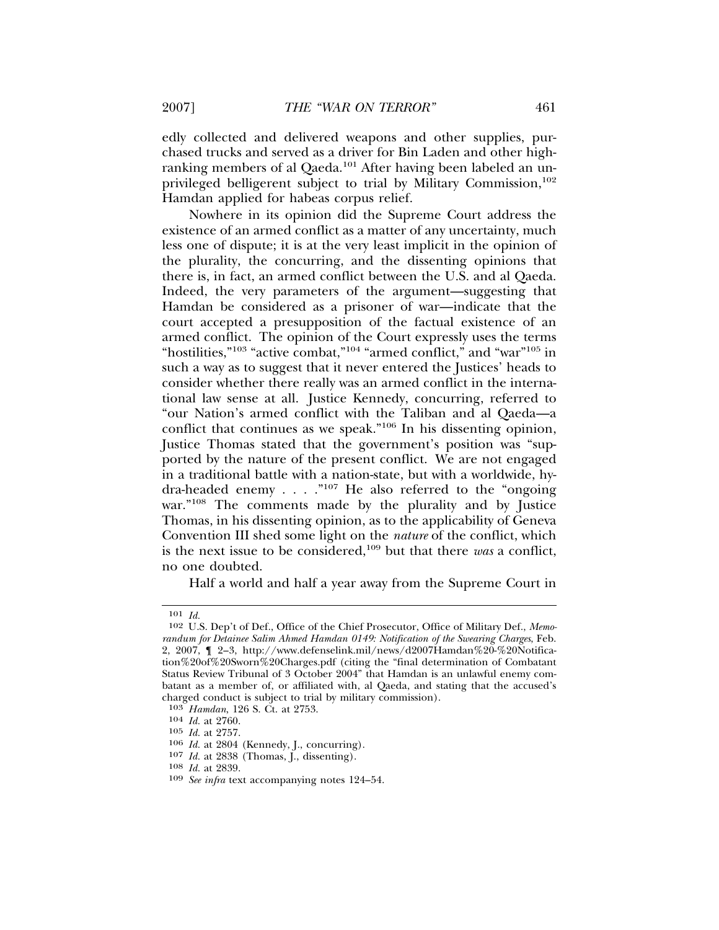edly collected and delivered weapons and other supplies, purchased trucks and served as a driver for Bin Laden and other highranking members of al Qaeda.<sup>101</sup> After having been labeled an unprivileged belligerent subject to trial by Military Commission,<sup>102</sup> Hamdan applied for habeas corpus relief.

Nowhere in its opinion did the Supreme Court address the existence of an armed conflict as a matter of any uncertainty, much less one of dispute; it is at the very least implicit in the opinion of the plurality, the concurring, and the dissenting opinions that there is, in fact, an armed conflict between the U.S. and al Qaeda. Indeed, the very parameters of the argument—suggesting that Hamdan be considered as a prisoner of war—indicate that the court accepted a presupposition of the factual existence of an armed conflict. The opinion of the Court expressly uses the terms "hostilities,"<sup>103</sup> "active combat,"<sup>104</sup> "armed conflict," and "war"<sup>105</sup> in such a way as to suggest that it never entered the Justices' heads to consider whether there really was an armed conflict in the international law sense at all. Justice Kennedy, concurring, referred to "our Nation's armed conflict with the Taliban and al Qaeda—a conflict that continues as we speak."106 In his dissenting opinion, Justice Thomas stated that the government's position was "supported by the nature of the present conflict. We are not engaged in a traditional battle with a nation-state, but with a worldwide, hydra-headed enemy . . . ."107 He also referred to the "ongoing war."<sup>108</sup> The comments made by the plurality and by Justice Thomas, in his dissenting opinion, as to the applicability of Geneva Convention III shed some light on the *nature* of the conflict, which is the next issue to be considered,109 but that there *was* a conflict, no one doubted.

Half a world and half a year away from the Supreme Court in

<sup>101</sup> *Id.*

<sup>102</sup> U.S. Dep't of Def., Office of the Chief Prosecutor, Office of Military Def., *Memorandum for Detainee Salim Ahmed Hamdan 0149: Notification of the Swearing Charges*, Feb. 2, 2007,  $\parallel$  2–3, http://www.defenselink.mil/news/d2007Hamdan%20-%20Notification%20of%20Sworn%20Charges.pdf (citing the "final determination of Combatant Status Review Tribunal of 3 October 2004" that Hamdan is an unlawful enemy combatant as a member of, or affiliated with, al Qaeda, and stating that the accused's charged conduct is subject to trial by military commission).

<sup>103</sup> *Hamdan*, 126 S. Ct. at 2753.

<sup>104</sup> *Id.* at 2760.

<sup>105</sup> *Id.* at 2757.

<sup>106</sup> *Id.* at 2804 (Kennedy, J., concurring).

<sup>107</sup> *Id.* at 2838 (Thomas, J., dissenting).

<sup>108</sup> *Id.* at 2839.

<sup>109</sup> *See infra* text accompanying notes 124–54.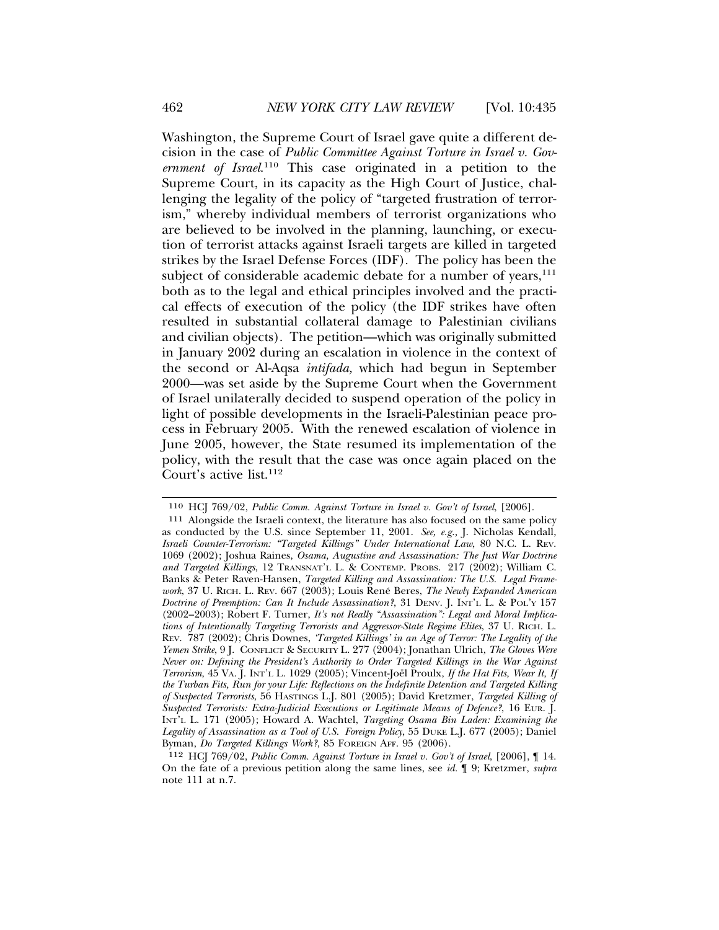Washington, the Supreme Court of Israel gave quite a different decision in the case of *Public Committee Against Torture in Israel v. Government of Israel*. 110 This case originated in a petition to the Supreme Court, in its capacity as the High Court of Justice, challenging the legality of the policy of "targeted frustration of terrorism," whereby individual members of terrorist organizations who are believed to be involved in the planning, launching, or execution of terrorist attacks against Israeli targets are killed in targeted strikes by the Israel Defense Forces (IDF). The policy has been the subject of considerable academic debate for a number of years, $111$ both as to the legal and ethical principles involved and the practical effects of execution of the policy (the IDF strikes have often resulted in substantial collateral damage to Palestinian civilians and civilian objects). The petition—which was originally submitted in January 2002 during an escalation in violence in the context of the second or Al-Aqsa *intifada,* which had begun in September 2000—was set aside by the Supreme Court when the Government of Israel unilaterally decided to suspend operation of the policy in light of possible developments in the Israeli-Palestinian peace process in February 2005. With the renewed escalation of violence in June 2005, however, the State resumed its implementation of the policy, with the result that the case was once again placed on the Court's active list.<sup>112</sup>

<sup>110</sup> HCJ 769/02, *Public Comm. Against Torture in Israel v. Gov't of Israel*, [2006].

<sup>111</sup> Alongside the Israeli context, the literature has also focused on the same policy as conducted by the U.S. since September 11, 2001. *See, e.g.,* J. Nicholas Kendall, *Israeli Counter-Terrorism: "Targeted Killings" Under International Law*, 80 N.C. L. REV. 1069 (2002); Joshua Raines, *Osama, Augustine and Assassination: The Just War Doctrine and Targeted Killings*, 12 TRANSNAT'L L. & CONTEMP. PROBS. 217 (2002); William C. Banks & Peter Raven-Hansen, *Targeted Killing and Assassination: The U.S. Legal Framework*, 37 U. RICH. L. REV. 667 (2003); Louis Rene Beres, ´ *The Newly Expanded American Doctrine of Preemption: Can It Include Assassination?*, 31 DENV. J. INT'L L. & POL'Y 157 (2002–2003); Robert F. Turner, *It's not Really "Assassination": Legal and Moral Implications of Intentionally Targeting Terrorists and Aggressor-State Regime Elites*, 37 U. RICH. L. REV. 787 (2002); Chris Downes, *'Targeted Killings' in an Age of Terror: The Legality of the Yemen Strike*, 9 J. CONFLICT & SECURITY L. 277 (2004); Jonathan Ulrich, *The Gloves Were Never on: Defining the President's Authority to Order Targeted Killings in the War Against Terrorism*, 45 VA. J. INT'L L. 1029 (2005); Vincent-Joël Proulx, If the Hat Fits, Wear It, If *the Turban Fits, Run for your Life: Reflections on the Indefinite Detention and Targeted Killing of Suspected Terrorists*, 56 HASTINGS L.J. 801 (2005); David Kretzmer, *Targeted Killing of Suspected Terrorists: Extra-Judicial Executions or Legitimate Means of Defence?*, 16 EUR. J. INT'L L. 171 (2005); Howard A. Wachtel, *Targeting Osama Bin Laden: Examining the Legality of Assassination as a Tool of U.S. Foreign Policy*, 55 DUKE L.J. 677 (2005); Daniel Byman, *Do Targeted Killings Work?*, 85 FOREIGN AFF. 95 (2006).

<sup>112</sup> HCJ 769/02, *Public Comm. Against Torture in Israel v. Gov't of Israel*, [2006], ¶ 14. On the fate of a previous petition along the same lines, see *id.* ¶ 9; Kretzmer, *supra* note 111 at n.7.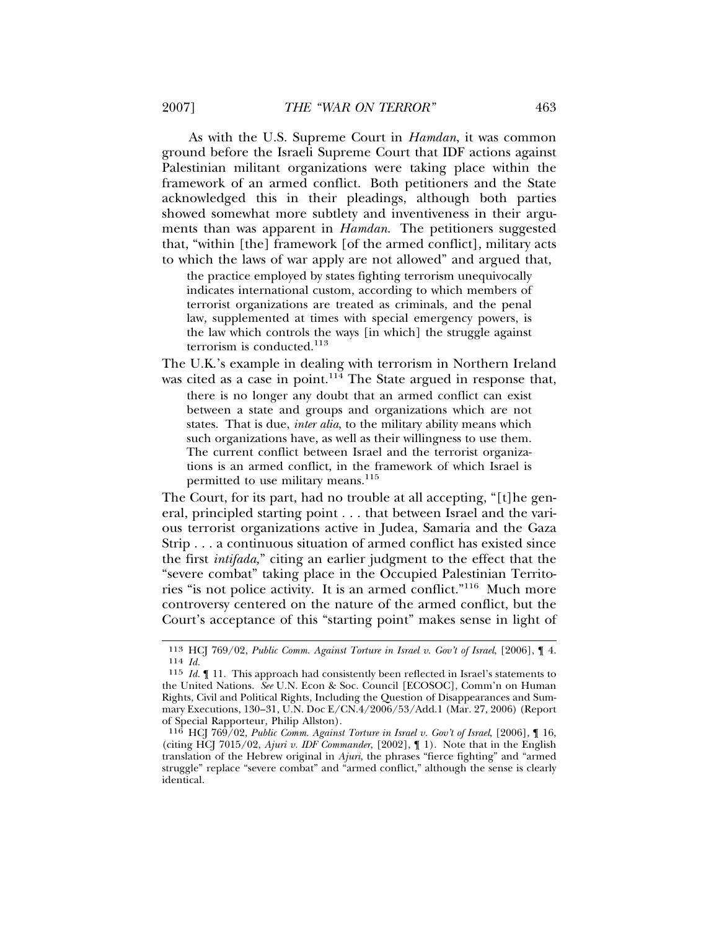As with the U.S. Supreme Court in *Hamdan*, it was common ground before the Israeli Supreme Court that IDF actions against Palestinian militant organizations were taking place within the framework of an armed conflict. Both petitioners and the State acknowledged this in their pleadings, although both parties showed somewhat more subtlety and inventiveness in their arguments than was apparent in *Hamdan*. The petitioners suggested that, "within [the] framework [of the armed conflict], military acts to which the laws of war apply are not allowed" and argued that,

the practice employed by states fighting terrorism unequivocally indicates international custom, according to which members of terrorist organizations are treated as criminals, and the penal law, supplemented at times with special emergency powers, is the law which controls the ways [in which] the struggle against terrorism is conducted.<sup>113</sup>

The U.K.'s example in dealing with terrorism in Northern Ireland was cited as a case in point. $114$  The State argued in response that,

there is no longer any doubt that an armed conflict can exist between a state and groups and organizations which are not states. That is due, *inter alia*, to the military ability means which such organizations have, as well as their willingness to use them. The current conflict between Israel and the terrorist organizations is an armed conflict, in the framework of which Israel is permitted to use military means.<sup>115</sup>

The Court, for its part, had no trouble at all accepting, "[t]he general, principled starting point . . . that between Israel and the various terrorist organizations active in Judea, Samaria and the Gaza Strip . . . a continuous situation of armed conflict has existed since the first *intifada,*" citing an earlier judgment to the effect that the "severe combat" taking place in the Occupied Palestinian Territories "is not police activity. It is an armed conflict."116 Much more controversy centered on the nature of the armed conflict, but the Court's acceptance of this "starting point" makes sense in light of

<sup>113</sup> HCJ 769/02, *Public Comm. Against Torture in Israel v. Gov't of Israel*, [2006], ¶ 4. <sup>114</sup> *Id.*

<sup>115</sup> *Id.* ¶ 11. This approach had consistently been reflected in Israel's statements to the United Nations. *See* U.N. Econ & Soc. Council [ECOSOC], Comm'n on Human Rights, Civil and Political Rights, Including the Question of Disappearances and Summary Executions, 130–31, U.N. Doc E/CN.4/2006/53/Add.1 (Mar. 27, 2006) (Report of Special Rapporteur, Philip Allston).

<sup>116</sup> HCJ 769/02, *Public Comm. Against Torture in Israel v. Gov't of Israel*, [2006], ¶ 16, (citing HCJ 7015/02, *Ajuri v. IDF Commander*, [2002], ¶ 1). Note that in the English translation of the Hebrew original in *Ajuri*, the phrases "fierce fighting" and "armed struggle" replace "severe combat" and "armed conflict," although the sense is clearly identical.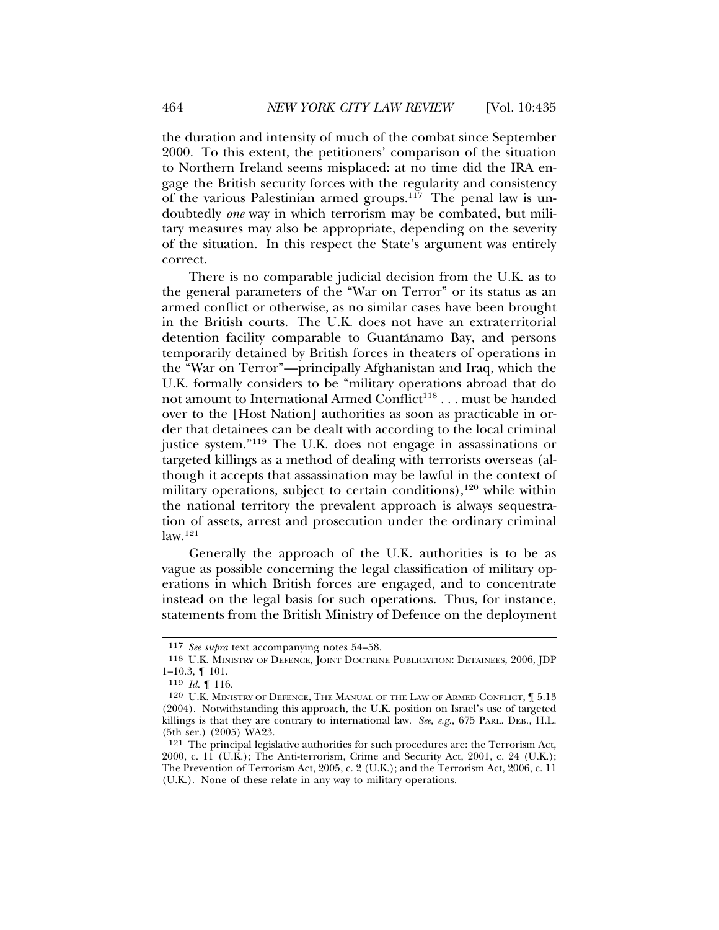the duration and intensity of much of the combat since September 2000. To this extent, the petitioners' comparison of the situation to Northern Ireland seems misplaced: at no time did the IRA engage the British security forces with the regularity and consistency of the various Palestinian armed groups.117 The penal law is undoubtedly *one* way in which terrorism may be combated, but military measures may also be appropriate, depending on the severity of the situation. In this respect the State's argument was entirely correct.

There is no comparable judicial decision from the U.K. as to the general parameters of the "War on Terror" or its status as an armed conflict or otherwise, as no similar cases have been brought in the British courts. The U.K. does not have an extraterritorial detention facility comparable to Guantánamo Bay, and persons temporarily detained by British forces in theaters of operations in the "War on Terror"—principally Afghanistan and Iraq, which the U.K. formally considers to be "military operations abroad that do not amount to International Armed Conflict<sup>118</sup> . . . must be handed over to the [Host Nation] authorities as soon as practicable in order that detainees can be dealt with according to the local criminal justice system."119 The U.K. does not engage in assassinations or targeted killings as a method of dealing with terrorists overseas (although it accepts that assassination may be lawful in the context of military operations, subject to certain conditions), $120$  while within the national territory the prevalent approach is always sequestration of assets, arrest and prosecution under the ordinary criminal law.121

Generally the approach of the U.K. authorities is to be as vague as possible concerning the legal classification of military operations in which British forces are engaged, and to concentrate instead on the legal basis for such operations. Thus, for instance, statements from the British Ministry of Defence on the deployment

<sup>117</sup> *See supra* text accompanying notes 54–58.

<sup>118</sup> U.K. MINISTRY OF DEFENCE, JOINT DOCTRINE PUBLICATION: DETAINEES, 2006, JDP 1–10.3, ¶ 101.

<sup>119</sup> *Id.* ¶ 116.

<sup>120</sup> U.K. MINISTRY OF DEFENCE, THE MANUAL OF THE LAW OF ARMED CONFLICT, ¶ 5.13 (2004). Notwithstanding this approach, the U.K. position on Israel's use of targeted killings is that they are contrary to international law. *See, e.g.*, 675 PARL. DEB., H.L. (5th ser.) (2005) WA23.

<sup>121</sup> The principal legislative authorities for such procedures are: the Terrorism Act, 2000, c. 11 (U.K.); The Anti-terrorism, Crime and Security Act, 2001, c. 24 (U.K.); The Prevention of Terrorism Act, 2005, c. 2 (U.K.); and the Terrorism Act, 2006, c. 11 (U.K.). None of these relate in any way to military operations.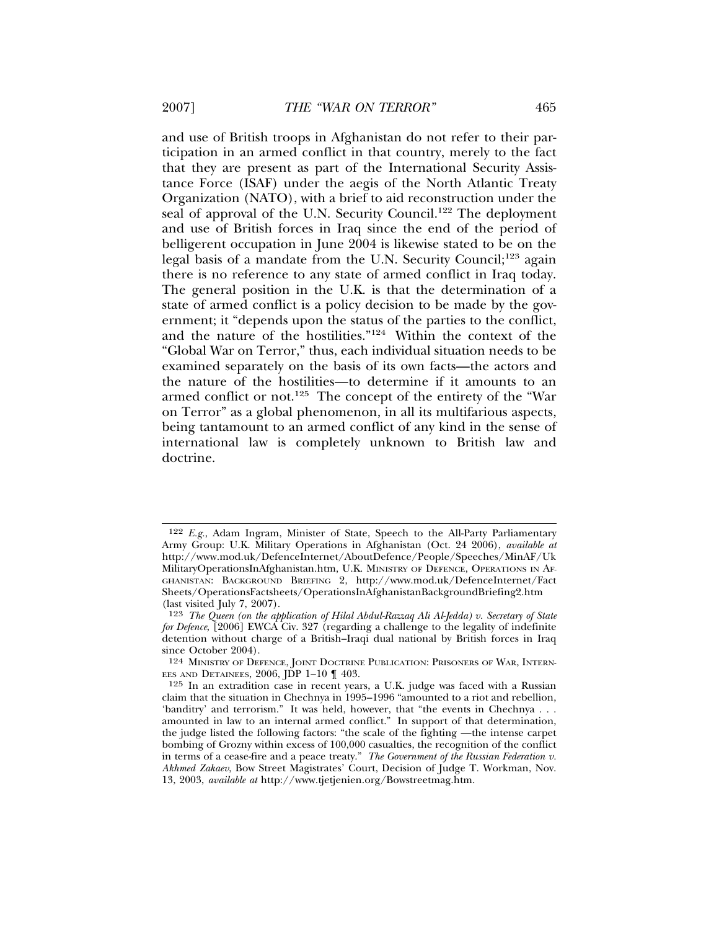and use of British troops in Afghanistan do not refer to their participation in an armed conflict in that country, merely to the fact that they are present as part of the International Security Assistance Force (ISAF) under the aegis of the North Atlantic Treaty Organization (NATO), with a brief to aid reconstruction under the seal of approval of the U.N. Security Council.<sup>122</sup> The deployment and use of British forces in Iraq since the end of the period of belligerent occupation in June 2004 is likewise stated to be on the legal basis of a mandate from the U.N. Security Council;123 again there is no reference to any state of armed conflict in Iraq today. The general position in the U.K. is that the determination of a state of armed conflict is a policy decision to be made by the government; it "depends upon the status of the parties to the conflict, and the nature of the hostilities."124 Within the context of the "Global War on Terror," thus, each individual situation needs to be examined separately on the basis of its own facts—the actors and the nature of the hostilities—to determine if it amounts to an armed conflict or not.125 The concept of the entirety of the "War on Terror" as a global phenomenon, in all its multifarious aspects, being tantamount to an armed conflict of any kind in the sense of international law is completely unknown to British law and doctrine.

<sup>122</sup> *E.g.*, Adam Ingram, Minister of State, Speech to the All-Party Parliamentary Army Group: U.K. Military Operations in Afghanistan (Oct. 24 2006), *available at* http://www.mod.uk/DefenceInternet/AboutDefence/People/Speeches/MinAF/Uk MilitaryOperationsInAfghanistan.htm, U.K. MINISTRY OF DEFENCE, OPERATIONS IN AF-GHANISTAN: BACKGROUND BRIEFING 2, http://www.mod.uk/DefenceInternet/Fact Sheets/OperationsFactsheets/OperationsInAfghanistanBackgroundBriefing2.htm (last visited July 7, 2007).

<sup>123</sup> *The Queen (on the application of Hilal Abdul-Razzaq Ali Al-Jedda) v. Secretary of State for Defence*, [2006] EWCA Civ. 327 (regarding a challenge to the legality of indefinite detention without charge of a British–Iraqi dual national by British forces in Iraq since October 2004).

<sup>124</sup> MINISTRY OF DEFENCE, JOINT DOCTRINE PUBLICATION: PRISONERS OF WAR, INTERN-EES AND DETAINEES,  $2006$ ,  $\overrightarrow{DP}$  1-10  $\P$  403.

<sup>125</sup> In an extradition case in recent years, a U.K. judge was faced with a Russian claim that the situation in Chechnya in 1995–1996 "amounted to a riot and rebellion, 'banditry' and terrorism." It was held, however, that "the events in Chechnya . . . amounted in law to an internal armed conflict." In support of that determination, the judge listed the following factors: "the scale of the fighting —the intense carpet bombing of Grozny within excess of 100,000 casualties, the recognition of the conflict in terms of a cease-fire and a peace treaty." *The Government of the Russian Federation v. Akhmed Zakaev*, Bow Street Magistrates' Court, Decision of Judge T. Workman, Nov. 13, 2003, *available at* http://www.tjetjenien.org/Bowstreetmag.htm.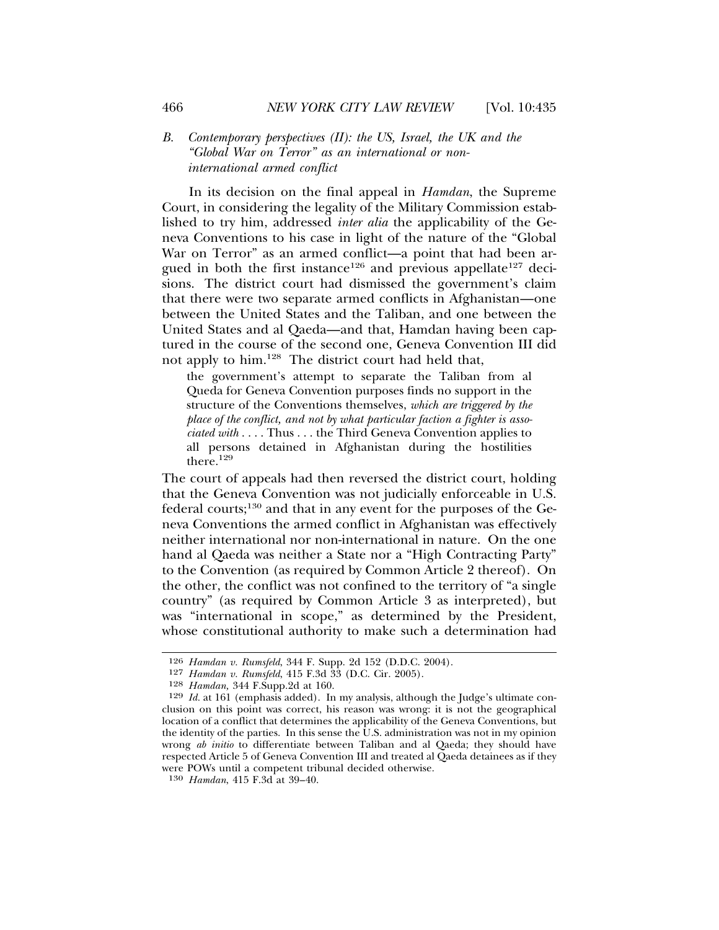#### *B. Contemporary perspectives (II): the US, Israel, the UK and the "Global War on Terror" as an international or noninternational armed conflict*

In its decision on the final appeal in *Hamdan*, the Supreme Court, in considering the legality of the Military Commission established to try him, addressed *inter alia* the applicability of the Geneva Conventions to his case in light of the nature of the "Global War on Terror" as an armed conflict—a point that had been argued in both the first instance<sup>126</sup> and previous appellate<sup>127</sup> decisions. The district court had dismissed the government's claim that there were two separate armed conflicts in Afghanistan—one between the United States and the Taliban, and one between the United States and al Qaeda—and that, Hamdan having been captured in the course of the second one, Geneva Convention III did not apply to him.128 The district court had held that,

the government's attempt to separate the Taliban from al Queda for Geneva Convention purposes finds no support in the structure of the Conventions themselves, *which are triggered by the place of the conflict, and not by what particular faction a fighter is associated with* . . . . Thus . . . the Third Geneva Convention applies to all persons detained in Afghanistan during the hostilities there.<sup>129</sup>

The court of appeals had then reversed the district court, holding that the Geneva Convention was not judicially enforceable in U.S. federal courts;130 and that in any event for the purposes of the Geneva Conventions the armed conflict in Afghanistan was effectively neither international nor non-international in nature. On the one hand al Qaeda was neither a State nor a "High Contracting Party" to the Convention (as required by Common Article 2 thereof). On the other, the conflict was not confined to the territory of "a single country" (as required by Common Article 3 as interpreted), but was "international in scope," as determined by the President, whose constitutional authority to make such a determination had

<sup>126</sup> *Hamdan v. Rumsfeld*, 344 F. Supp. 2d 152 (D.D.C. 2004).

<sup>127</sup> *Hamdan v. Rumsfeld*, 415 F.3d 33 (D.C. Cir. 2005).

<sup>128</sup> *Hamdan,* 344 F.Supp.2d at 160.

<sup>129</sup> *Id.* at 161 (emphasis added). In my analysis, although the Judge's ultimate conclusion on this point was correct, his reason was wrong: it is not the geographical location of a conflict that determines the applicability of the Geneva Conventions, but the identity of the parties. In this sense the U.S. administration was not in my opinion wrong *ab initio* to differentiate between Taliban and al Qaeda; they should have respected Article 5 of Geneva Convention III and treated al Qaeda detainees as if they were POWs until a competent tribunal decided otherwise.

<sup>130</sup> *Hamdan*, 415 F.3d at 39–40.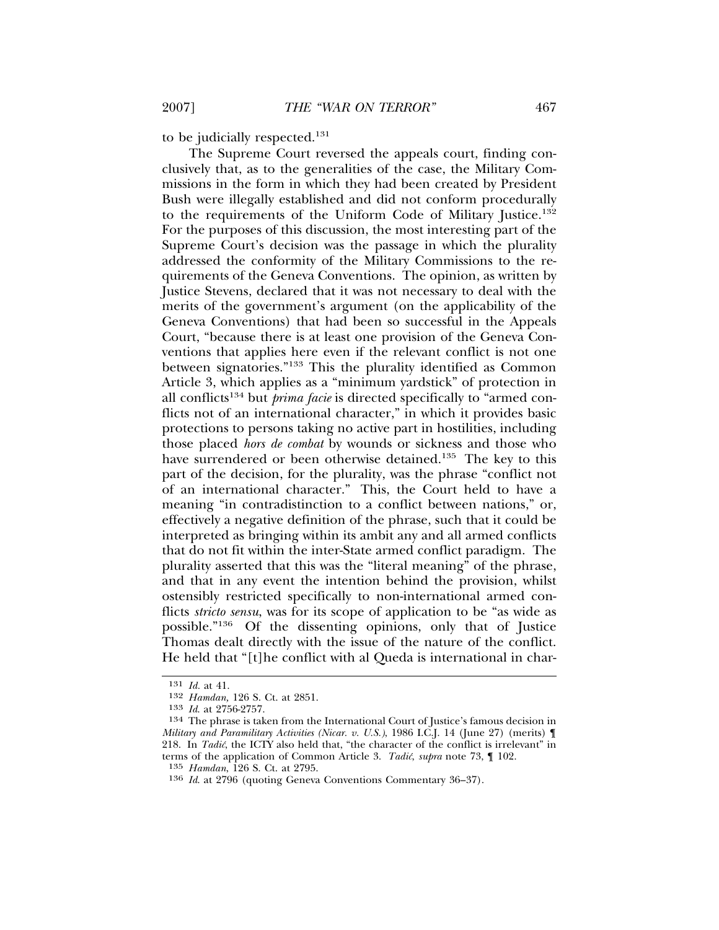to be judicially respected.131

The Supreme Court reversed the appeals court, finding conclusively that, as to the generalities of the case, the Military Commissions in the form in which they had been created by President Bush were illegally established and did not conform procedurally to the requirements of the Uniform Code of Military Justice.132 For the purposes of this discussion, the most interesting part of the Supreme Court's decision was the passage in which the plurality addressed the conformity of the Military Commissions to the requirements of the Geneva Conventions. The opinion, as written by Justice Stevens, declared that it was not necessary to deal with the merits of the government's argument (on the applicability of the Geneva Conventions) that had been so successful in the Appeals Court, "because there is at least one provision of the Geneva Conventions that applies here even if the relevant conflict is not one between signatories."133 This the plurality identified as Common Article 3, which applies as a "minimum yardstick" of protection in all conflicts134 but *prima facie* is directed specifically to "armed conflicts not of an international character," in which it provides basic protections to persons taking no active part in hostilities, including those placed *hors de combat* by wounds or sickness and those who have surrendered or been otherwise detained.<sup>135</sup> The key to this part of the decision, for the plurality, was the phrase "conflict not of an international character." This, the Court held to have a meaning "in contradistinction to a conflict between nations," or, effectively a negative definition of the phrase, such that it could be interpreted as bringing within its ambit any and all armed conflicts that do not fit within the inter-State armed conflict paradigm. The plurality asserted that this was the "literal meaning" of the phrase, and that in any event the intention behind the provision, whilst ostensibly restricted specifically to non-international armed conflicts *stricto sensu*, was for its scope of application to be "as wide as possible."136 Of the dissenting opinions, only that of Justice Thomas dealt directly with the issue of the nature of the conflict. He held that "[t]he conflict with al Queda is international in char-

<sup>131</sup> *Id.* at 41.

<sup>132</sup> *Hamdan,* 126 S. Ct. at 2851.

<sup>133</sup> *Id*. at 2756-2757.

<sup>134</sup> The phrase is taken from the International Court of Justice's famous decision in *Military and Paramilitary Activities (Nicar. v. U.S.)*, 1986 I.C.J. 14 (June 27) (merits) ¶ 218. In *Tadić*, the ICTY also held that, "the character of the conflict is irrelevant" in terms of the application of Common Article 3. *Tadic´*, *supra* note 73, ¶ 102.

<sup>135</sup> *Hamdan*, 126 S. Ct. at 2795.

<sup>136</sup> *Id*. at 2796 (quoting Geneva Conventions Commentary 36–37).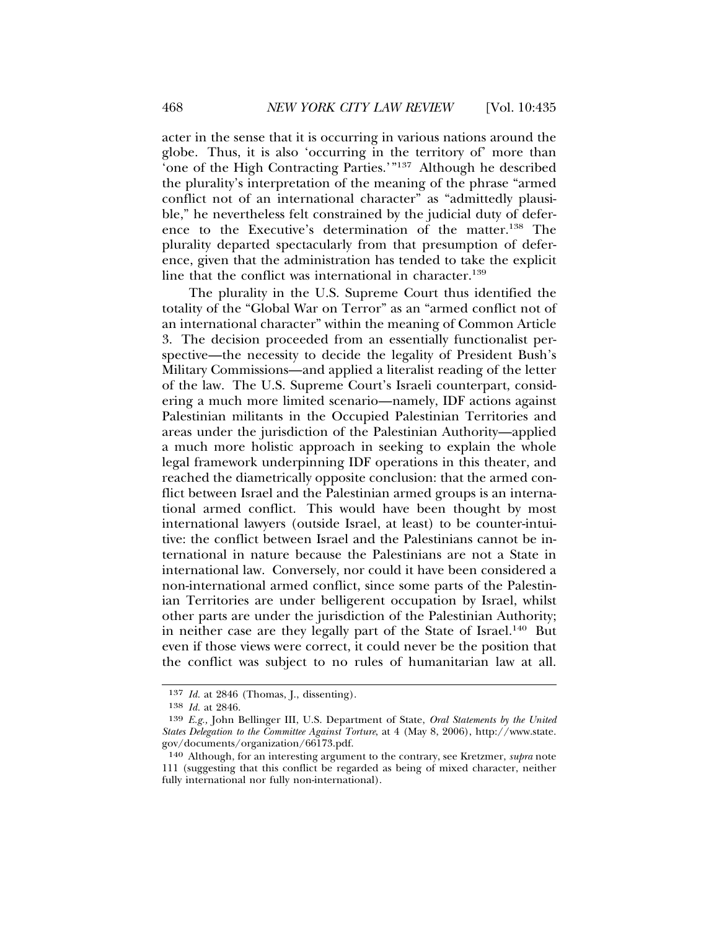acter in the sense that it is occurring in various nations around the globe. Thus, it is also 'occurring in the territory of' more than 'one of the High Contracting Parties.'"137 Although he described the plurality's interpretation of the meaning of the phrase "armed conflict not of an international character" as "admittedly plausible," he nevertheless felt constrained by the judicial duty of deference to the Executive's determination of the matter.138 The plurality departed spectacularly from that presumption of deference, given that the administration has tended to take the explicit line that the conflict was international in character.<sup>139</sup>

The plurality in the U.S. Supreme Court thus identified the totality of the "Global War on Terror" as an "armed conflict not of an international character" within the meaning of Common Article 3. The decision proceeded from an essentially functionalist perspective—the necessity to decide the legality of President Bush's Military Commissions—and applied a literalist reading of the letter of the law. The U.S. Supreme Court's Israeli counterpart, considering a much more limited scenario—namely, IDF actions against Palestinian militants in the Occupied Palestinian Territories and areas under the jurisdiction of the Palestinian Authority—applied a much more holistic approach in seeking to explain the whole legal framework underpinning IDF operations in this theater, and reached the diametrically opposite conclusion: that the armed conflict between Israel and the Palestinian armed groups is an international armed conflict. This would have been thought by most international lawyers (outside Israel, at least) to be counter-intuitive: the conflict between Israel and the Palestinians cannot be international in nature because the Palestinians are not a State in international law. Conversely, nor could it have been considered a non-international armed conflict, since some parts of the Palestinian Territories are under belligerent occupation by Israel, whilst other parts are under the jurisdiction of the Palestinian Authority; in neither case are they legally part of the State of Israel.<sup>140</sup> But even if those views were correct, it could never be the position that the conflict was subject to no rules of humanitarian law at all.

<sup>137</sup> *Id.* at 2846 (Thomas, J., dissenting).

<sup>138</sup> *Id.* at 2846.

<sup>139</sup> *E.g.,* John Bellinger III, U.S. Department of State, *Oral Statements by the United States Delegation to the Committee Against Torture*, at 4 (May 8, 2006), http://www.state. gov/documents/organization/66173.pdf.

<sup>140</sup> Although, for an interesting argument to the contrary, see Kretzmer, *supra* note 111 (suggesting that this conflict be regarded as being of mixed character, neither fully international nor fully non-international).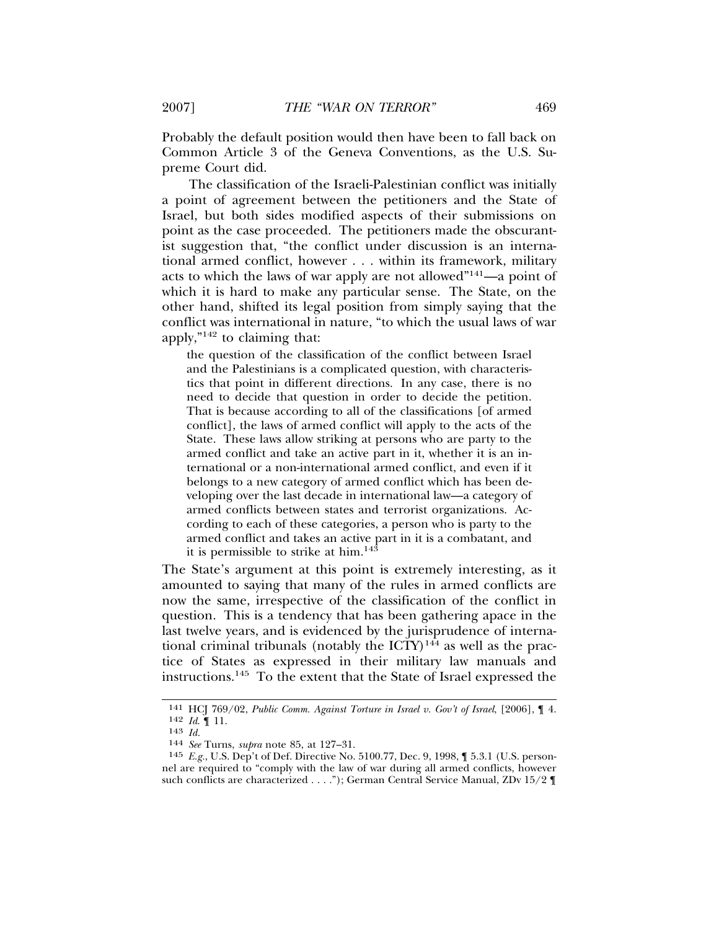Probably the default position would then have been to fall back on Common Article 3 of the Geneva Conventions, as the U.S. Supreme Court did.

The classification of the Israeli-Palestinian conflict was initially a point of agreement between the petitioners and the State of Israel, but both sides modified aspects of their submissions on point as the case proceeded. The petitioners made the obscurantist suggestion that, "the conflict under discussion is an international armed conflict, however . . . within its framework, military acts to which the laws of war apply are not allowed"141—a point of which it is hard to make any particular sense. The State, on the other hand, shifted its legal position from simply saying that the conflict was international in nature, "to which the usual laws of war apply,"142 to claiming that:

the question of the classification of the conflict between Israel and the Palestinians is a complicated question, with characteristics that point in different directions. In any case, there is no need to decide that question in order to decide the petition. That is because according to all of the classifications [of armed conflict], the laws of armed conflict will apply to the acts of the State. These laws allow striking at persons who are party to the armed conflict and take an active part in it, whether it is an international or a non-international armed conflict, and even if it belongs to a new category of armed conflict which has been developing over the last decade in international law—a category of armed conflicts between states and terrorist organizations. According to each of these categories, a person who is party to the armed conflict and takes an active part in it is a combatant, and it is permissible to strike at him.<sup>143</sup>

The State's argument at this point is extremely interesting, as it amounted to saying that many of the rules in armed conflicts are now the same, irrespective of the classification of the conflict in question. This is a tendency that has been gathering apace in the last twelve years, and is evidenced by the jurisprudence of international criminal tribunals (notably the  $\text{ICTY})^{144}$  as well as the practice of States as expressed in their military law manuals and instructions.145 To the extent that the State of Israel expressed the

<sup>141</sup> HCJ 769/02, *Public Comm. Against Torture in Israel v. Gov't of Israel*, [2006], ¶ 4. 142 *Id*. ¶ 11.

<sup>143</sup> *Id.* <sup>144</sup> *See* Turns, *supra* note 85, at 127–31.

<sup>145</sup> *E.g.*, U.S. Dep't of Def. Directive No. 5100.77, Dec. 9, 1998, ¶ 5.3.1 (U.S. personnel are required to "comply with the law of war during all armed conflicts, however such conflicts are characterized . . . ."); German Central Service Manual, ZDv 15/2 ¶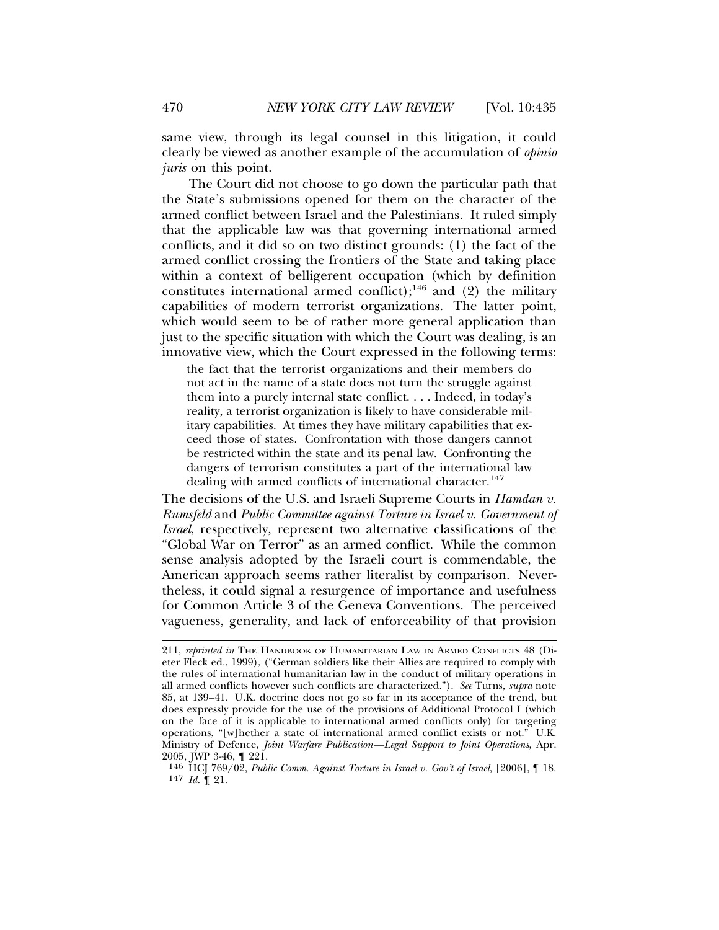same view, through its legal counsel in this litigation, it could clearly be viewed as another example of the accumulation of *opinio juris* on this point.

The Court did not choose to go down the particular path that the State's submissions opened for them on the character of the armed conflict between Israel and the Palestinians. It ruled simply that the applicable law was that governing international armed conflicts, and it did so on two distinct grounds: (1) the fact of the armed conflict crossing the frontiers of the State and taking place within a context of belligerent occupation (which by definition constitutes international armed conflict);<sup>146</sup> and (2) the military capabilities of modern terrorist organizations. The latter point, which would seem to be of rather more general application than just to the specific situation with which the Court was dealing, is an innovative view, which the Court expressed in the following terms:

the fact that the terrorist organizations and their members do not act in the name of a state does not turn the struggle against them into a purely internal state conflict. . . . Indeed, in today's reality, a terrorist organization is likely to have considerable military capabilities. At times they have military capabilities that exceed those of states. Confrontation with those dangers cannot be restricted within the state and its penal law. Confronting the dangers of terrorism constitutes a part of the international law dealing with armed conflicts of international character.<sup>147</sup>

The decisions of the U.S. and Israeli Supreme Courts in *Hamdan v. Rumsfeld* and *Public Committee against Torture in Israel v. Government of Israel*, respectively, represent two alternative classifications of the "Global War on Terror" as an armed conflict. While the common sense analysis adopted by the Israeli court is commendable, the American approach seems rather literalist by comparison. Nevertheless, it could signal a resurgence of importance and usefulness for Common Article 3 of the Geneva Conventions. The perceived vagueness, generality, and lack of enforceability of that provision

<sup>211,</sup> *reprinted in* THE HANDBOOK OF HUMANITARIAN LAW IN ARMED CONFLICTS 48 (Dieter Fleck ed., 1999), ("German soldiers like their Allies are required to comply with the rules of international humanitarian law in the conduct of military operations in all armed conflicts however such conflicts are characterized."). *See* Turns, *supra* note 85, at 139–41. U.K. doctrine does not go so far in its acceptance of the trend, but does expressly provide for the use of the provisions of Additional Protocol I (which on the face of it is applicable to international armed conflicts only) for targeting operations, "[w]hether a state of international armed conflict exists or not." U.K. Ministry of Defence, *Joint Warfare Publication—Legal Support to Joint Operations*, Apr. 2005, JWP 3-46, ¶ 221.

<sup>146</sup> HCJ 769/02, *Public Comm. Against Torture in Israel v. Gov't of Israel*, [2006], ¶ 18.  $147$  *Id.*  $\mathbf{9}$  21.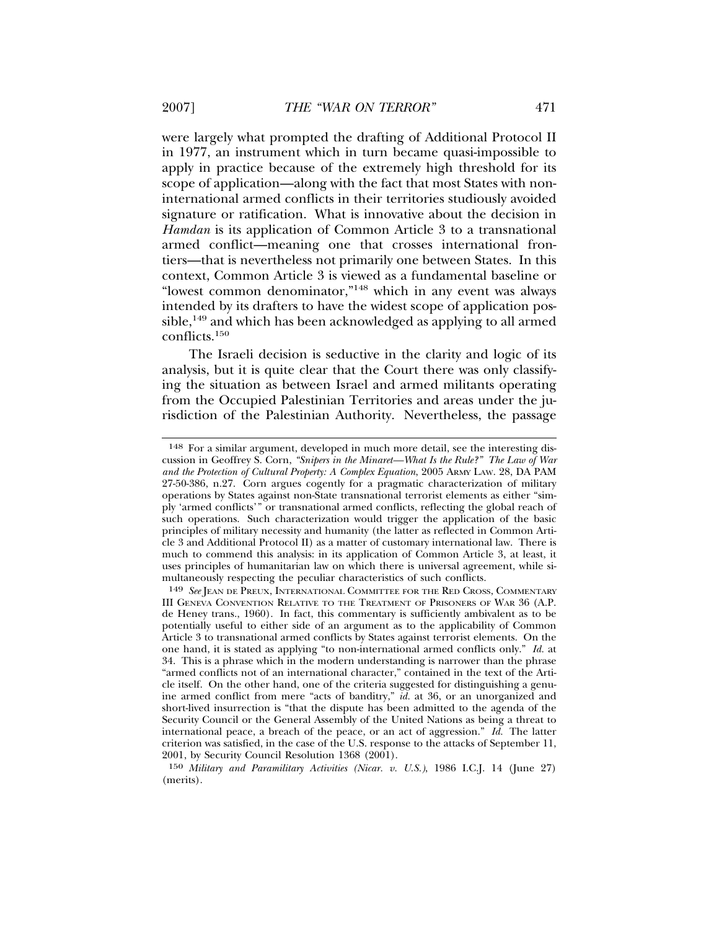were largely what prompted the drafting of Additional Protocol II in 1977, an instrument which in turn became quasi-impossible to apply in practice because of the extremely high threshold for its scope of application—along with the fact that most States with noninternational armed conflicts in their territories studiously avoided signature or ratification. What is innovative about the decision in *Hamdan* is its application of Common Article 3 to a transnational armed conflict—meaning one that crosses international frontiers—that is nevertheless not primarily one between States. In this context, Common Article 3 is viewed as a fundamental baseline or "lowest common denominator,"148 which in any event was always intended by its drafters to have the widest scope of application pos $sible$ ,<sup>149</sup> and which has been acknowledged as applying to all armed conflicts.150

The Israeli decision is seductive in the clarity and logic of its analysis, but it is quite clear that the Court there was only classifying the situation as between Israel and armed militants operating from the Occupied Palestinian Territories and areas under the jurisdiction of the Palestinian Authority. Nevertheless, the passage

<sup>148</sup> For a similar argument, developed in much more detail, see the interesting discussion in Geoffrey S. Corn, *"Snipers in the Minaret—What Is the Rule?" The Law of War and the Protection of Cultural Property: A Complex Equation*, 2005 ARMY LAW. 28, DA PAM 27-50-386, n.27. Corn argues cogently for a pragmatic characterization of military operations by States against non-State transnational terrorist elements as either "simply 'armed conflicts'" or transnational armed conflicts, reflecting the global reach of such operations. Such characterization would trigger the application of the basic principles of military necessity and humanity (the latter as reflected in Common Article 3 and Additional Protocol II) as a matter of customary international law. There is much to commend this analysis: in its application of Common Article 3, at least, it uses principles of humanitarian law on which there is universal agreement, while simultaneously respecting the peculiar characteristics of such conflicts.

<sup>149</sup> *See* JEAN DE PREUX, INTERNATIONAL COMMITTEE FOR THE RED CROSS, COMMENTARY III GENEVA CONVENTION RELATIVE TO THE TREATMENT OF PRISONERS OF WAR 36 (A.P. de Heney trans., 1960). In fact, this commentary is sufficiently ambivalent as to be potentially useful to either side of an argument as to the applicability of Common Article 3 to transnational armed conflicts by States against terrorist elements. On the one hand, it is stated as applying "to non-international armed conflicts only." *Id.* at 34. This is a phrase which in the modern understanding is narrower than the phrase "armed conflicts not of an international character," contained in the text of the Article itself. On the other hand, one of the criteria suggested for distinguishing a genuine armed conflict from mere "acts of banditry," *id.* at 36, or an unorganized and short-lived insurrection is "that the dispute has been admitted to the agenda of the Security Council or the General Assembly of the United Nations as being a threat to international peace, a breach of the peace, or an act of aggression." *Id.* The latter criterion was satisfied, in the case of the U.S. response to the attacks of September 11, 2001, by Security Council Resolution 1368 (2001).

<sup>150</sup> *Military and Paramilitary Activities (Nicar. v. U.S.)*, 1986 I.C.J. 14 (June 27) (merits).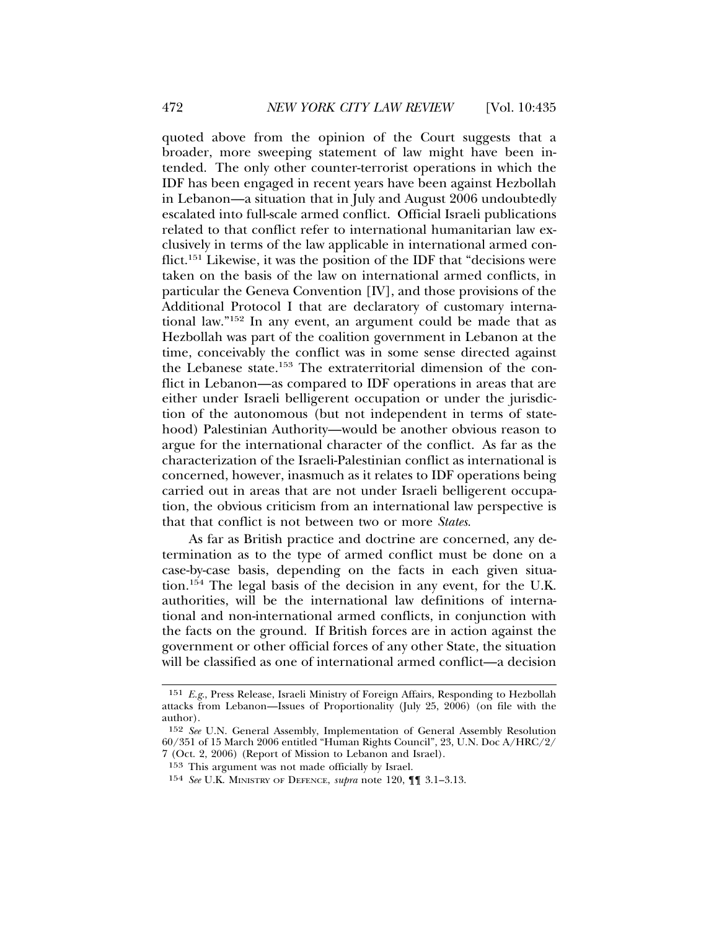quoted above from the opinion of the Court suggests that a broader, more sweeping statement of law might have been intended. The only other counter-terrorist operations in which the IDF has been engaged in recent years have been against Hezbollah in Lebanon—a situation that in July and August 2006 undoubtedly escalated into full-scale armed conflict. Official Israeli publications related to that conflict refer to international humanitarian law exclusively in terms of the law applicable in international armed conflict.151 Likewise, it was the position of the IDF that "decisions were taken on the basis of the law on international armed conflicts, in particular the Geneva Convention [IV], and those provisions of the Additional Protocol I that are declaratory of customary international law."152 In any event, an argument could be made that as Hezbollah was part of the coalition government in Lebanon at the time, conceivably the conflict was in some sense directed against the Lebanese state.153 The extraterritorial dimension of the conflict in Lebanon—as compared to IDF operations in areas that are either under Israeli belligerent occupation or under the jurisdiction of the autonomous (but not independent in terms of statehood) Palestinian Authority—would be another obvious reason to argue for the international character of the conflict. As far as the characterization of the Israeli-Palestinian conflict as international is concerned, however, inasmuch as it relates to IDF operations being carried out in areas that are not under Israeli belligerent occupation, the obvious criticism from an international law perspective is that that conflict is not between two or more *States*.

As far as British practice and doctrine are concerned, any determination as to the type of armed conflict must be done on a case-by-case basis, depending on the facts in each given situation.<sup>154</sup> The legal basis of the decision in any event, for the U.K. authorities, will be the international law definitions of international and non-international armed conflicts, in conjunction with the facts on the ground. If British forces are in action against the government or other official forces of any other State, the situation will be classified as one of international armed conflict—a decision

<sup>151</sup> *E.g*., Press Release, Israeli Ministry of Foreign Affairs, Responding to Hezbollah attacks from Lebanon—Issues of Proportionality (July 25, 2006) (on file with the author).

<sup>152</sup> *See* U.N. General Assembly, Implementation of General Assembly Resolution 60/351 of 15 March 2006 entitled "Human Rights Council", 23, U.N. Doc A/HRC/2/ 7 (Oct. 2, 2006) (Report of Mission to Lebanon and Israel).

<sup>153</sup> This argument was not made officially by Israel.

<sup>154</sup> *See* U.K. MINISTRY OF DEFENCE, *supra* note 120, ¶¶ 3.1–3.13.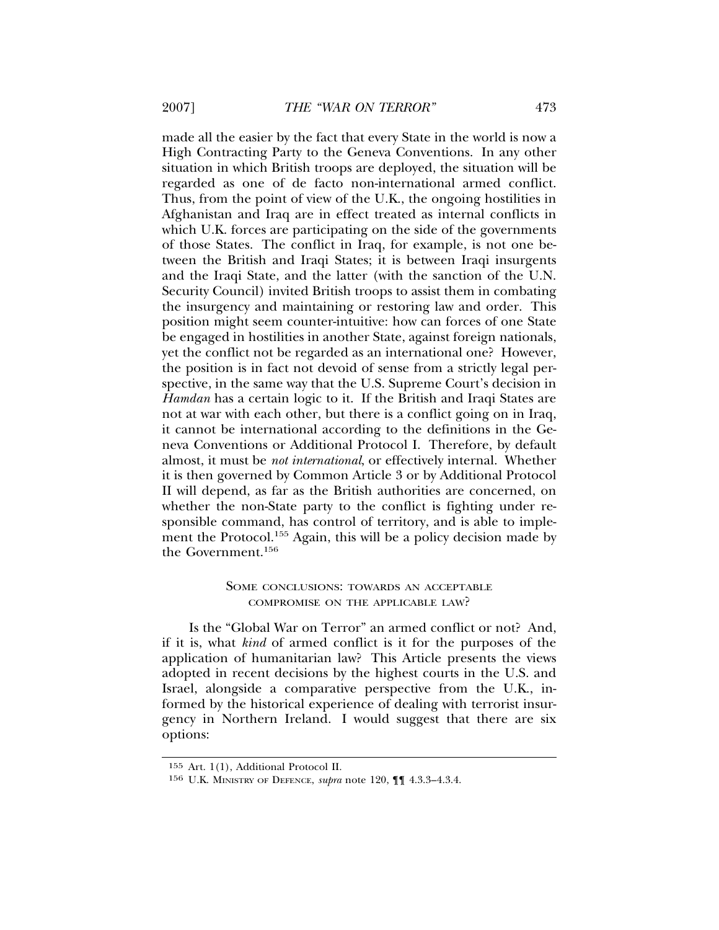made all the easier by the fact that every State in the world is now a High Contracting Party to the Geneva Conventions. In any other situation in which British troops are deployed, the situation will be regarded as one of de facto non-international armed conflict. Thus, from the point of view of the U.K., the ongoing hostilities in Afghanistan and Iraq are in effect treated as internal conflicts in which U.K. forces are participating on the side of the governments of those States. The conflict in Iraq, for example, is not one between the British and Iraqi States; it is between Iraqi insurgents and the Iraqi State, and the latter (with the sanction of the U.N. Security Council) invited British troops to assist them in combating the insurgency and maintaining or restoring law and order. This position might seem counter-intuitive: how can forces of one State be engaged in hostilities in another State, against foreign nationals, yet the conflict not be regarded as an international one? However, the position is in fact not devoid of sense from a strictly legal perspective, in the same way that the U.S. Supreme Court's decision in *Hamdan* has a certain logic to it. If the British and Iraqi States are not at war with each other, but there is a conflict going on in Iraq, it cannot be international according to the definitions in the Geneva Conventions or Additional Protocol I. Therefore, by default almost, it must be *not international*, or effectively internal. Whether it is then governed by Common Article 3 or by Additional Protocol II will depend, as far as the British authorities are concerned, on whether the non-State party to the conflict is fighting under responsible command, has control of territory, and is able to implement the Protocol.155 Again, this will be a policy decision made by the Government.156

#### SOME CONCLUSIONS: TOWARDS AN ACCEPTABLE COMPROMISE ON THE APPLICABLE LAW?

Is the "Global War on Terror" an armed conflict or not? And, if it is, what *kind* of armed conflict is it for the purposes of the application of humanitarian law? This Article presents the views adopted in recent decisions by the highest courts in the U.S. and Israel, alongside a comparative perspective from the U.K., informed by the historical experience of dealing with terrorist insurgency in Northern Ireland. I would suggest that there are six options:

<sup>155</sup> Art. 1(1), Additional Protocol II.

<sup>156</sup> U.K. MINISTRY OF DEFENCE, *supra* note 120, ¶¶ 4.3.3–4.3.4.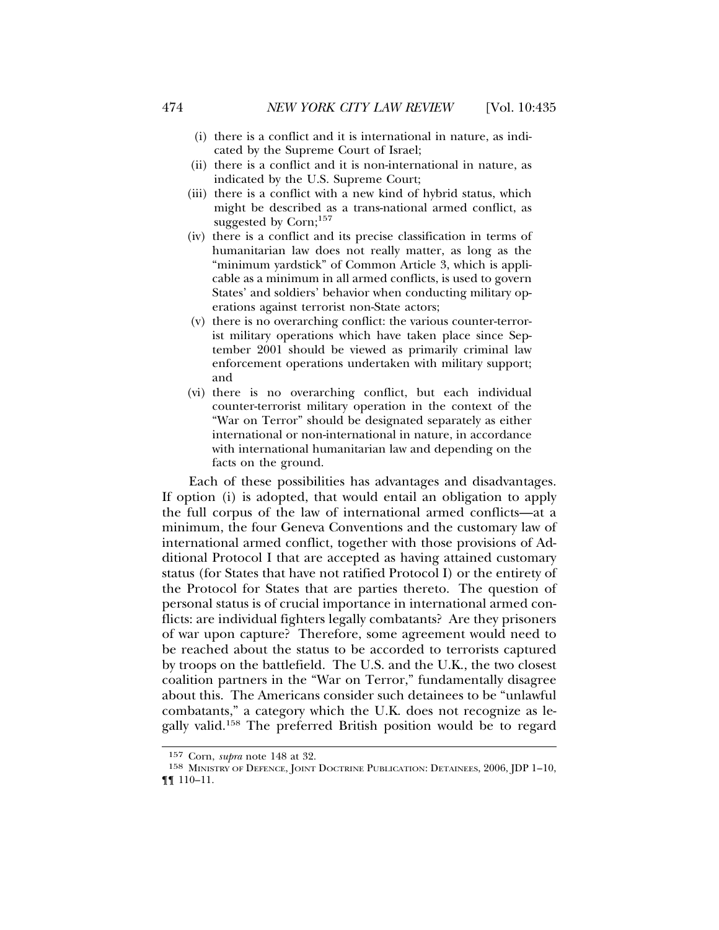- (i) there is a conflict and it is international in nature, as indicated by the Supreme Court of Israel;
- (ii) there is a conflict and it is non-international in nature, as indicated by the U.S. Supreme Court;
- (iii) there is a conflict with a new kind of hybrid status, which might be described as a trans-national armed conflict, as suggested by Corn;<sup>157</sup>
- (iv) there is a conflict and its precise classification in terms of humanitarian law does not really matter, as long as the "minimum yardstick" of Common Article 3, which is applicable as a minimum in all armed conflicts, is used to govern States' and soldiers' behavior when conducting military operations against terrorist non-State actors;
- (v) there is no overarching conflict: the various counter-terrorist military operations which have taken place since September 2001 should be viewed as primarily criminal law enforcement operations undertaken with military support; and
- (vi) there is no overarching conflict, but each individual counter-terrorist military operation in the context of the "War on Terror" should be designated separately as either international or non-international in nature, in accordance with international humanitarian law and depending on the facts on the ground.

Each of these possibilities has advantages and disadvantages. If option (i) is adopted, that would entail an obligation to apply the full corpus of the law of international armed conflicts—at a minimum, the four Geneva Conventions and the customary law of international armed conflict, together with those provisions of Additional Protocol I that are accepted as having attained customary status (for States that have not ratified Protocol I) or the entirety of the Protocol for States that are parties thereto. The question of personal status is of crucial importance in international armed conflicts: are individual fighters legally combatants? Are they prisoners of war upon capture? Therefore, some agreement would need to be reached about the status to be accorded to terrorists captured by troops on the battlefield. The U.S. and the U.K., the two closest coalition partners in the "War on Terror," fundamentally disagree about this. The Americans consider such detainees to be "unlawful combatants," a category which the U.K. does not recognize as legally valid.158 The preferred British position would be to regard

<sup>157</sup> Corn, *supra* note 148 at 32.

<sup>158</sup> MINISTRY OF DEFENCE, JOINT DOCTRINE PUBLICATION: DETAINEES, 2006, JDP 1–10, ¶¶ 110–11.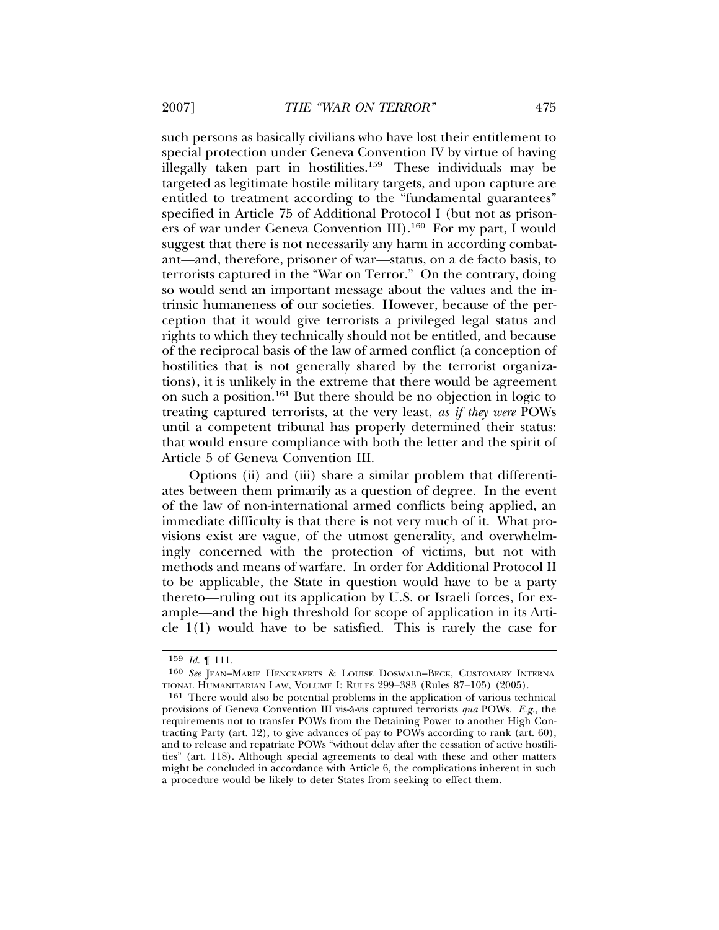such persons as basically civilians who have lost their entitlement to special protection under Geneva Convention IV by virtue of having illegally taken part in hostilities.<sup>159</sup> These individuals may be targeted as legitimate hostile military targets, and upon capture are entitled to treatment according to the "fundamental guarantees" specified in Article 75 of Additional Protocol I (but not as prisoners of war under Geneva Convention III).<sup>160</sup> For my part,  $\vec{l}$  would suggest that there is not necessarily any harm in according combatant—and, therefore, prisoner of war—status, on a de facto basis, to terrorists captured in the "War on Terror." On the contrary, doing so would send an important message about the values and the intrinsic humaneness of our societies. However, because of the perception that it would give terrorists a privileged legal status and rights to which they technically should not be entitled, and because of the reciprocal basis of the law of armed conflict (a conception of hostilities that is not generally shared by the terrorist organizations), it is unlikely in the extreme that there would be agreement on such a position.161 But there should be no objection in logic to treating captured terrorists, at the very least, *as if they were* POWs until a competent tribunal has properly determined their status: that would ensure compliance with both the letter and the spirit of Article 5 of Geneva Convention III.

Options (ii) and (iii) share a similar problem that differentiates between them primarily as a question of degree. In the event of the law of non-international armed conflicts being applied, an immediate difficulty is that there is not very much of it. What provisions exist are vague, of the utmost generality, and overwhelmingly concerned with the protection of victims, but not with methods and means of warfare. In order for Additional Protocol II to be applicable, the State in question would have to be a party thereto—ruling out its application by U.S. or Israeli forces, for example—and the high threshold for scope of application in its Article 1(1) would have to be satisfied. This is rarely the case for

<sup>159</sup> *Id.* ¶ 111.

<sup>160</sup> *See* JEAN–MARIE HENCKAERTS & LOUISE DOSWALD–BECK, CUSTOMARY INTERNA-TIONAL HUMANITARIAN LAW, VOLUME I: RULES 299–383 (Rules 87–105) (2005).

<sup>161</sup> There would also be potential problems in the application of various technical provisions of Geneva Convention III vis-a-vis captured terrorists ` *qua* POWs. *E.g.*, the requirements not to transfer POWs from the Detaining Power to another High Contracting Party (art. 12), to give advances of pay to POWs according to rank (art. 60), and to release and repatriate POWs "without delay after the cessation of active hostilities" (art. 118). Although special agreements to deal with these and other matters might be concluded in accordance with Article 6, the complications inherent in such a procedure would be likely to deter States from seeking to effect them.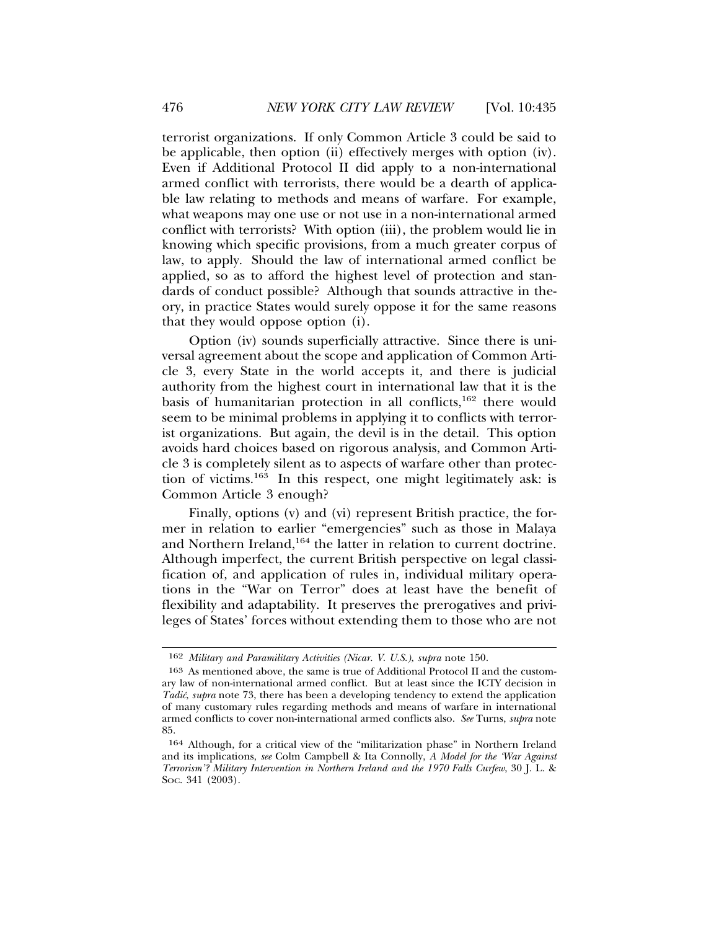terrorist organizations. If only Common Article 3 could be said to be applicable, then option (ii) effectively merges with option (iv). Even if Additional Protocol II did apply to a non-international armed conflict with terrorists, there would be a dearth of applicable law relating to methods and means of warfare. For example, what weapons may one use or not use in a non-international armed conflict with terrorists? With option (iii), the problem would lie in knowing which specific provisions, from a much greater corpus of law, to apply. Should the law of international armed conflict be applied, so as to afford the highest level of protection and standards of conduct possible? Although that sounds attractive in theory, in practice States would surely oppose it for the same reasons that they would oppose option (i).

Option (iv) sounds superficially attractive. Since there is universal agreement about the scope and application of Common Article 3, every State in the world accepts it, and there is judicial authority from the highest court in international law that it is the basis of humanitarian protection in all conflicts,<sup>162</sup> there would seem to be minimal problems in applying it to conflicts with terrorist organizations. But again, the devil is in the detail. This option avoids hard choices based on rigorous analysis, and Common Article 3 is completely silent as to aspects of warfare other than protection of victims.163 In this respect, one might legitimately ask: is Common Article 3 enough?

Finally, options (v) and (vi) represent British practice, the former in relation to earlier "emergencies" such as those in Malaya and Northern Ireland,<sup>164</sup> the latter in relation to current doctrine. Although imperfect, the current British perspective on legal classification of, and application of rules in, individual military operations in the "War on Terror" does at least have the benefit of flexibility and adaptability. It preserves the prerogatives and privileges of States' forces without extending them to those who are not

<sup>162</sup> *Military and Paramilitary Activities (Nicar. V. U.S.)*, *supra* note 150.

<sup>163</sup> As mentioned above, the same is true of Additional Protocol II and the customary law of non-international armed conflict. But at least since the ICTY decision in *Tadic´*, *supra* note 73, there has been a developing tendency to extend the application of many customary rules regarding methods and means of warfare in international armed conflicts to cover non-international armed conflicts also. *See* Turns, *supra* note 85.

<sup>164</sup> Although, for a critical view of the "militarization phase" in Northern Ireland and its implications, *see* Colm Campbell & Ita Connolly, *A Model for the 'War Against Terrorism'? Military Intervention in Northern Ireland and the 1970 Falls Curfew*, 30 J. L. & SOC. 341 (2003).